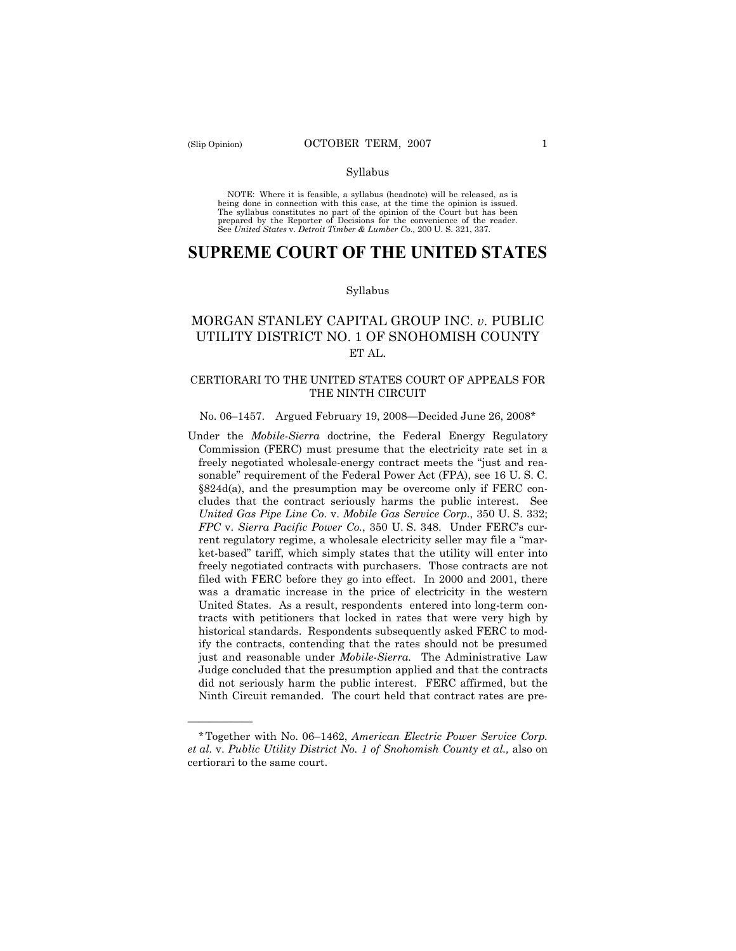——————

#### Syllabus

NOTE: Where it is feasible, a syllabus (headnote) will be released, as is being done in connection with this case, at the time the opinion is issued. The syllabus constitutes no part of the opinion of the Court but has been<br>prepared by the Reporter of Decisions for the convenience of the reader.<br>See United States v. Detroit Timber & Lumber Co., 200 U. S. 321, 337.

# **SUPREME COURT OF THE UNITED STATES**

#### Syllabus

# MORGAN STANLEY CAPITAL GROUP INC. *v*. PUBLIC UTILITY DISTRICT NO. 1 OF SNOHOMISH COUNTY ET AL.

#### CERTIORARI TO THE UNITED STATES COURT OF APPEALS FOR THE NINTH CIRCUIT

#### No. 06–1457. Argued February 19, 2008—Decided June 26, 2008\*

Under the *Mobile-Sierra* doctrine, the Federal Energy Regulatory Commission (FERC) must presume that the electricity rate set in a freely negotiated wholesale-energy contract meets the "just and reasonable" requirement of the Federal Power Act (FPA), see 16 U. S. C. §824d(a), and the presumption may be overcome only if FERC concludes that the contract seriously harms the public interest. See *United Gas Pipe Line Co.* v. *Mobile Gas Service Corp.*, 350 U. S. 332; *FPC* v. *Sierra Pacific Power Co.*, 350 U. S. 348. Under FERC's current regulatory regime, a wholesale electricity seller may file a "market-based" tariff, which simply states that the utility will enter into freely negotiated contracts with purchasers. Those contracts are not filed with FERC before they go into effect. In 2000 and 2001, there was a dramatic increase in the price of electricity in the western United States. As a result, respondents entered into long-term contracts with petitioners that locked in rates that were very high by historical standards. Respondents subsequently asked FERC to modify the contracts, contending that the rates should not be presumed just and reasonable under *Mobile-Sierra.* The Administrative Law Judge concluded that the presumption applied and that the contracts did not seriously harm the public interest. FERC affirmed, but the Ninth Circuit remanded. The court held that contract rates are pre-

<sup>\*</sup>Together with No. 06–1462, *American Electric Power Service Corp. et al.* v. *Public Utility District No. 1 of Snohomish County et al.,* also on certiorari to the same court.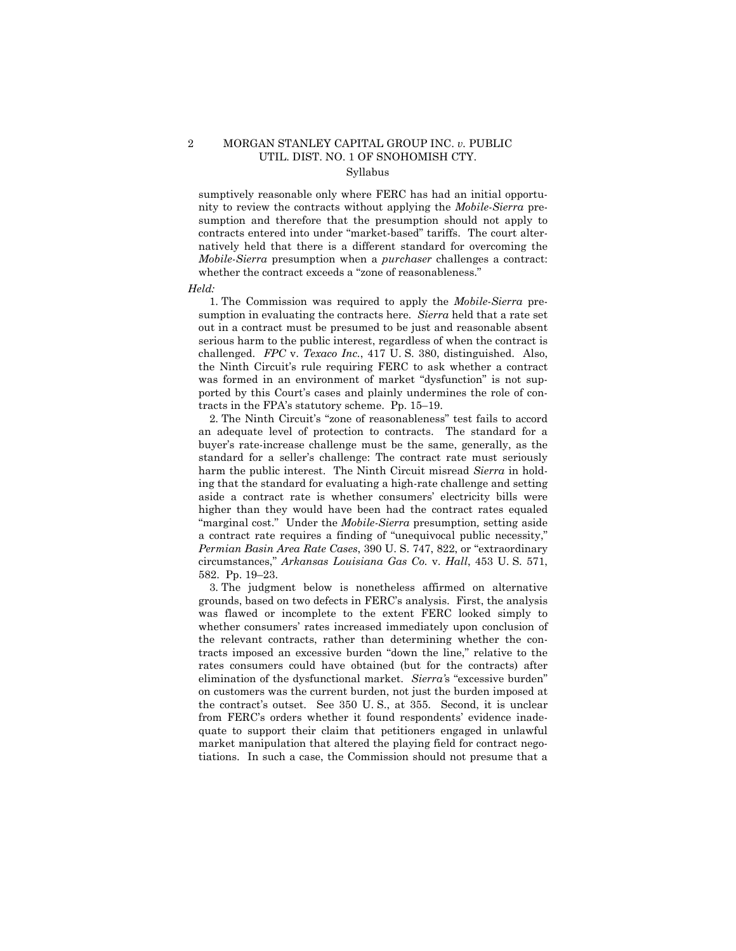## 2 MORGAN STANLEY CAPITAL GROUP INC. *v.* PUBLIC UTIL. DIST. NO. 1 OF SNOHOMISH CTY. Syllabus

sumptively reasonable only where FERC has had an initial opportunity to review the contracts without applying the *Mobile-Sierra* presumption and therefore that the presumption should not apply to contracts entered into under "market-based" tariffs. The court alternatively held that there is a different standard for overcoming the *Mobile-Sierra* presumption when a *purchaser* challenges a contract: whether the contract exceeds a "zone of reasonableness."

*Held:* 

 1. The Commission was required to apply the *Mobile-Sierra* presumption in evaluating the contracts here. *Sierra* held that a rate set out in a contract must be presumed to be just and reasonable absent serious harm to the public interest, regardless of when the contract is challenged. *FPC* v. *Texaco Inc.*, 417 U. S. 380, distinguished. Also, the Ninth Circuit's rule requiring FERC to ask whether a contract was formed in an environment of market "dysfunction" is not supported by this Court's cases and plainly undermines the role of contracts in the FPA's statutory scheme. Pp. 15–19.

 2. The Ninth Circuit's "zone of reasonableness" test fails to accord an adequate level of protection to contracts. The standard for a buyer's rate-increase challenge must be the same, generally, as the standard for a seller's challenge: The contract rate must seriously harm the public interest. The Ninth Circuit misread *Sierra* in holding that the standard for evaluating a high-rate challenge and setting aside a contract rate is whether consumers' electricity bills were higher than they would have been had the contract rates equaled "marginal cost." Under the *Mobile-Sierra* presumption*,* setting aside a contract rate requires a finding of "unequivocal public necessity," *Permian Basin Area Rate Cases*, 390 U. S. 747, 822, or "extraordinary circumstances," *Arkansas Louisiana Gas Co.* v. *Hall*, 453 U. S. 571, 582. Pp. 19–23.

 3. The judgment below is nonetheless affirmed on alternative grounds, based on two defects in FERC's analysis. First, the analysis was flawed or incomplete to the extent FERC looked simply to whether consumers' rates increased immediately upon conclusion of the relevant contracts, rather than determining whether the contracts imposed an excessive burden "down the line," relative to the rates consumers could have obtained (but for the contracts) after elimination of the dysfunctional market. *Sierra'*s "excessive burden" on customers was the current burden, not just the burden imposed at the contract's outset. See 350 U. S., at 355. Second, it is unclear from FERC's orders whether it found respondents' evidence inadequate to support their claim that petitioners engaged in unlawful market manipulation that altered the playing field for contract negotiations. In such a case, the Commission should not presume that a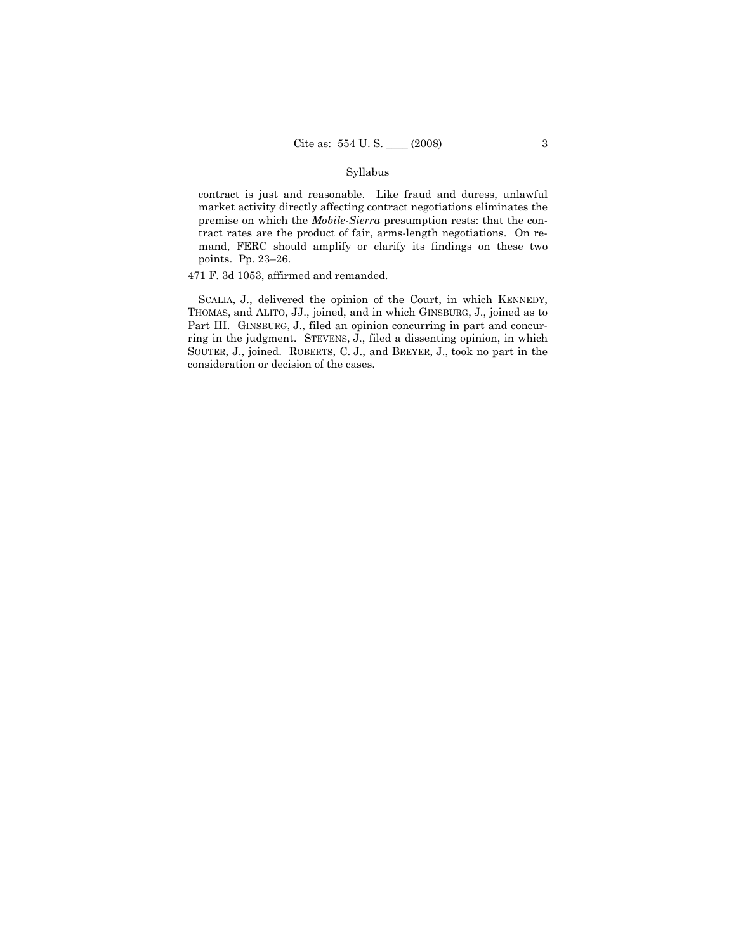#### Syllabus

contract is just and reasonable. Like fraud and duress, unlawful market activity directly affecting contract negotiations eliminates the premise on which the *Mobile-Sierra* presumption rests: that the contract rates are the product of fair, arms-length negotiations. On remand, FERC should amplify or clarify its findings on these two points. Pp. 23–26.

471 F. 3d 1053, affirmed and remanded.

 SCALIA, J., delivered the opinion of the Court, in which KENNEDY, THOMAS, and ALITO, JJ., joined, and in which GINSBURG, J., joined as to Part III. GINSBURG, J., filed an opinion concurring in part and concurring in the judgment. STEVENS, J., filed a dissenting opinion, in which SOUTER, J., joined. ROBERTS, C. J., and BREYER, J., took no part in the consideration or decision of the cases.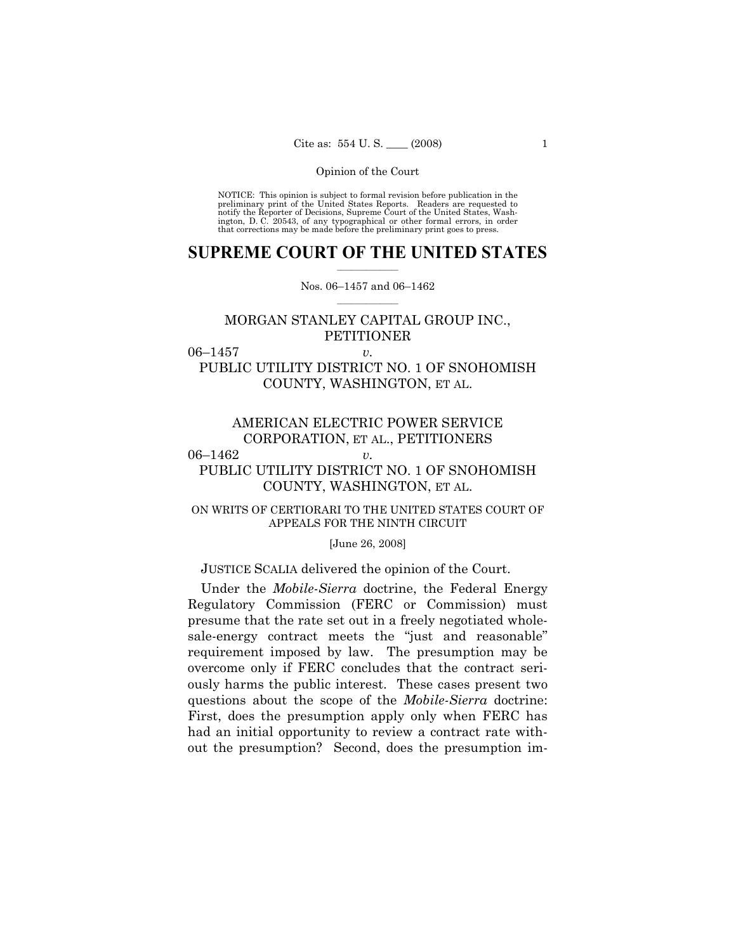NOTICE: This opinion is subject to formal revision before publication in the preliminary print of the United States Reports. Readers are requested to notify the Reporter of Decisions, Supreme Court of the United States, Washington, D. C. 20543, of any typographical or other formal errors, in order that corrections may be made before the preliminary print goes to press.

#### **SUPREME COURT OF THE UNITED STATES**  $\frac{1}{2}$  , where  $\frac{1}{2}$

Nos. 06–1457 and 06–1462  $\frac{1}{2}$  ,  $\frac{1}{2}$  ,  $\frac{1}{2}$  ,  $\frac{1}{2}$  ,  $\frac{1}{2}$  ,  $\frac{1}{2}$ 

# MORGAN STANLEY CAPITAL GROUP INC., **PETITIONER**

06–1457 *v.*

PUBLIC UTILITY DISTRICT NO. 1 OF SNOHOMISH COUNTY, WASHINGTON, ET AL.

# AMERICAN ELECTRIC POWER SERVICE CORPORATION, ET AL., PETITIONERS 06–1462 *v.*

# PUBLIC UTILITY DISTRICT NO. 1 OF SNOHOMISH COUNTY, WASHINGTON, ET AL.

#### ON WRITS OF CERTIORARI TO THE UNITED STATES COURT OF APPEALS FOR THE NINTH CIRCUIT

#### [June 26, 2008]

# JUSTICE SCALIA delivered the opinion of the Court.

 Under the *Mobile-Sierra* doctrine, the Federal Energy Regulatory Commission (FERC or Commission) must presume that the rate set out in a freely negotiated wholesale-energy contract meets the "just and reasonable" requirement imposed by law. The presumption may be overcome only if FERC concludes that the contract seriously harms the public interest. These cases present two questions about the scope of the *Mobile-Sierra* doctrine: First, does the presumption apply only when FERC has had an initial opportunity to review a contract rate without the presumption? Second, does the presumption im-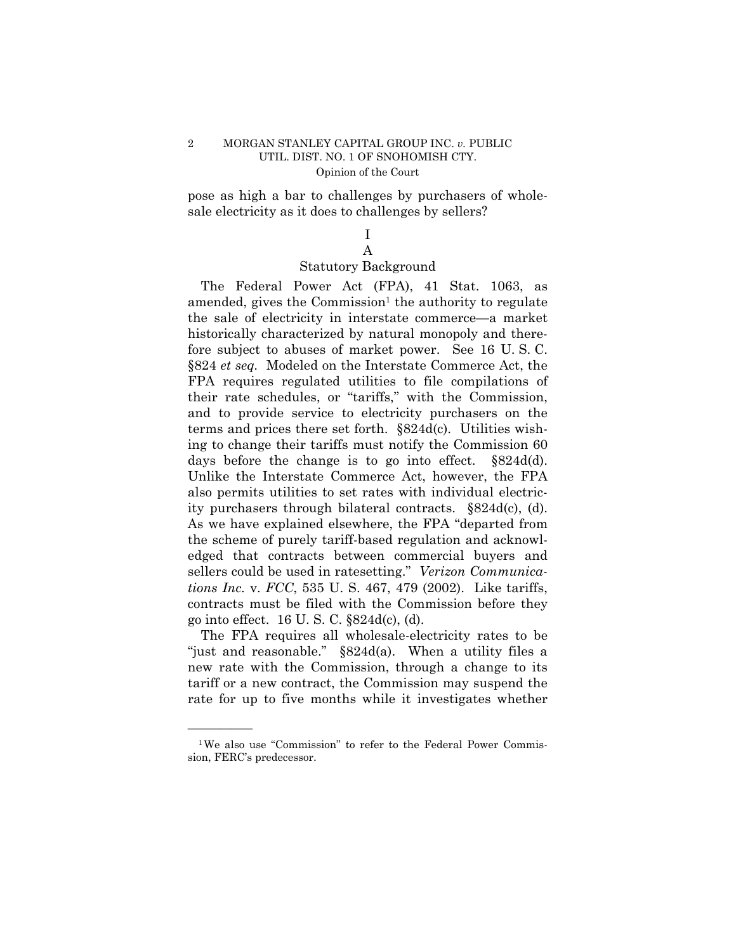pose as high a bar to challenges by purchasers of wholesale electricity as it does to challenges by sellers?

#### I A

#### Statutory Background

 The Federal Power Act (FPA), 41 Stat. 1063, as amended, gives the Commission<sup>1</sup> the authority to regulate the sale of electricity in interstate commerce—a market historically characterized by natural monopoly and therefore subject to abuses of market power. See 16 U. S. C. §824 *et seq.* Modeled on the Interstate Commerce Act, the FPA requires regulated utilities to file compilations of their rate schedules, or "tariffs," with the Commission, and to provide service to electricity purchasers on the terms and prices there set forth. §824d(c). Utilities wishing to change their tariffs must notify the Commission 60 days before the change is to go into effect. §824d(d). Unlike the Interstate Commerce Act, however, the FPA also permits utilities to set rates with individual electricity purchasers through bilateral contracts. §824d(c), (d). As we have explained elsewhere, the FPA "departed from the scheme of purely tariff-based regulation and acknowledged that contracts between commercial buyers and sellers could be used in ratesetting." *Verizon Communications Inc.* v. *FCC*, 535 U. S. 467, 479 (2002). Like tariffs, contracts must be filed with the Commission before they go into effect. 16 U. S. C. §824d(c), (d).

 The FPA requires all wholesale-electricity rates to be "just and reasonable." §824d(a). When a utility files a new rate with the Commission, through a change to its tariff or a new contract, the Commission may suspend the rate for up to five months while it investigates whether

<sup>1</sup>We also use "Commission" to refer to the Federal Power Commission, FERC's predecessor.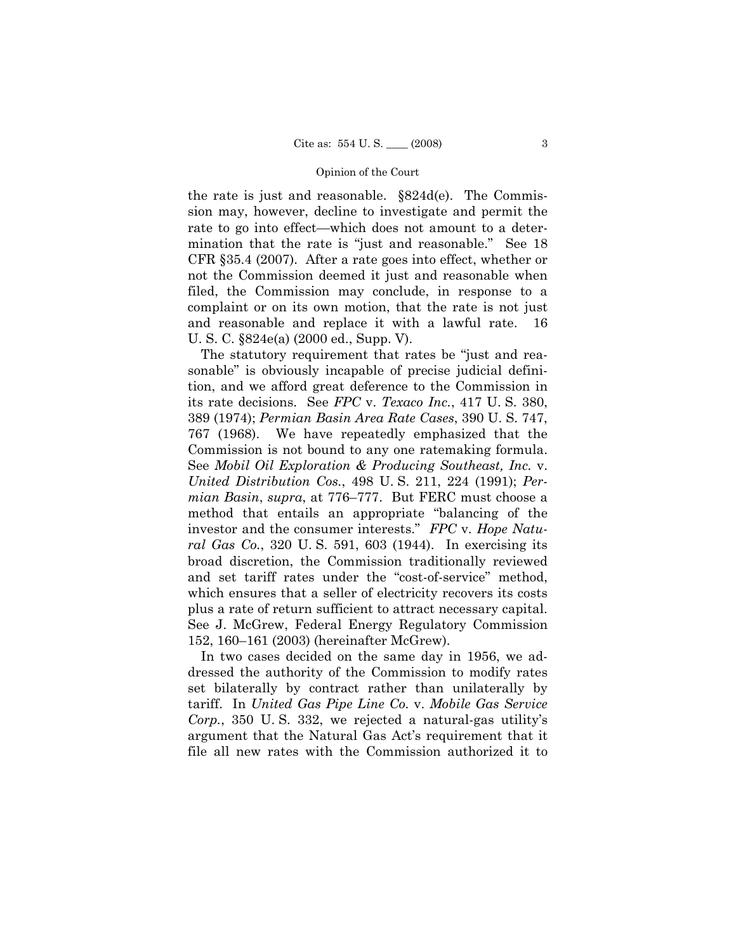the rate is just and reasonable. §824d(e). The Commission may, however, decline to investigate and permit the rate to go into effect—which does not amount to a determination that the rate is "just and reasonable." See 18 CFR §35.4 (2007). After a rate goes into effect, whether or not the Commission deemed it just and reasonable when filed, the Commission may conclude, in response to a complaint or on its own motion, that the rate is not just and reasonable and replace it with a lawful rate. 16 U. S. C. §824e(a) (2000 ed., Supp. V).

 The statutory requirement that rates be "just and reasonable" is obviously incapable of precise judicial definition, and we afford great deference to the Commission in its rate decisions. See *FPC* v. *Texaco Inc.*, 417 U. S. 380, 389 (1974); *Permian Basin Area Rate Cases*, 390 U. S. 747, 767 (1968). We have repeatedly emphasized that the Commission is not bound to any one ratemaking formula. See *Mobil Oil Exploration & Producing Southeast, Inc.* v. *United Distribution Cos.*, 498 U. S. 211, 224 (1991); *Permian Basin*, *supra*, at 776–777. But FERC must choose a method that entails an appropriate "balancing of the investor and the consumer interests." *FPC* v. *Hope Natural Gas Co.*, 320 U. S. 591, 603 (1944). In exercising its broad discretion, the Commission traditionally reviewed and set tariff rates under the "cost-of-service" method, which ensures that a seller of electricity recovers its costs plus a rate of return sufficient to attract necessary capital. See J. McGrew, Federal Energy Regulatory Commission 152, 160–161 (2003) (hereinafter McGrew).

 In two cases decided on the same day in 1956, we addressed the authority of the Commission to modify rates set bilaterally by contract rather than unilaterally by tariff. In *United Gas Pipe Line Co.* v. *Mobile Gas Service Corp.*, 350 U. S. 332, we rejected a natural-gas utility's argument that the Natural Gas Act's requirement that it file all new rates with the Commission authorized it to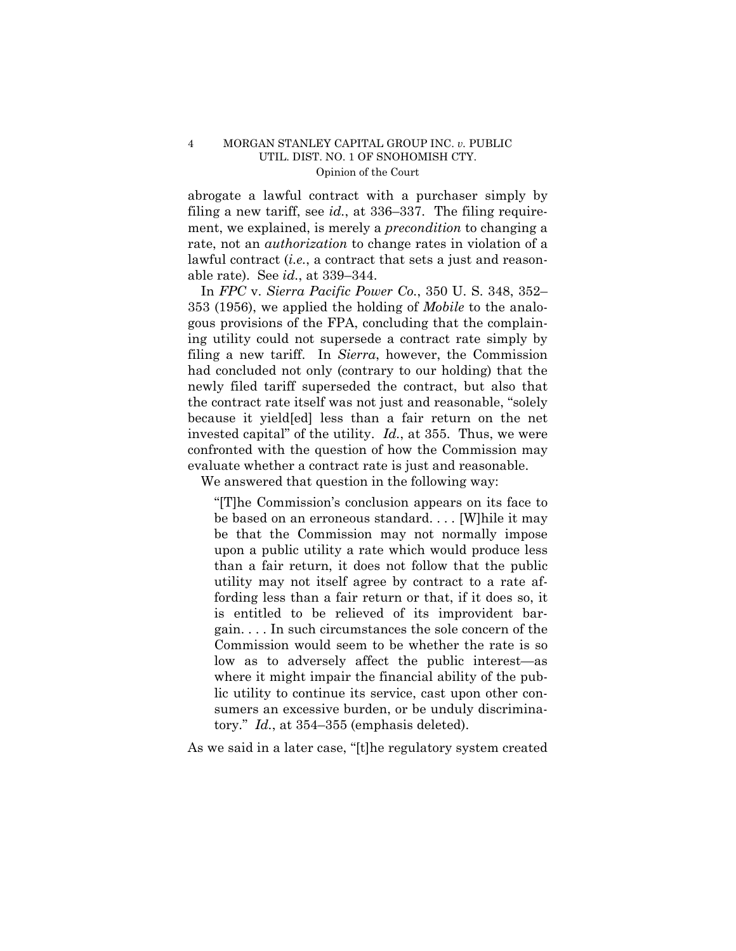abrogate a lawful contract with a purchaser simply by filing a new tariff, see *id.*, at 336–337. The filing requirement, we explained, is merely a *precondition* to changing a rate, not an *authorization* to change rates in violation of a lawful contract (*i.e.*, a contract that sets a just and reasonable rate). See *id.*, at 339–344.

 In *FPC* v. *Sierra Pacific Power Co.*, 350 U. S. 348, 352– 353 (1956), we applied the holding of *Mobile* to the analogous provisions of the FPA, concluding that the complaining utility could not supersede a contract rate simply by filing a new tariff. In *Sierra*, however, the Commission had concluded not only (contrary to our holding) that the newly filed tariff superseded the contract, but also that the contract rate itself was not just and reasonable, "solely because it yield[ed] less than a fair return on the net invested capital" of the utility. *Id.*, at 355. Thus, we were confronted with the question of how the Commission may evaluate whether a contract rate is just and reasonable.

We answered that question in the following way:

"[T]he Commission's conclusion appears on its face to be based on an erroneous standard. . . . [W]hile it may be that the Commission may not normally impose upon a public utility a rate which would produce less than a fair return, it does not follow that the public utility may not itself agree by contract to a rate affording less than a fair return or that, if it does so, it is entitled to be relieved of its improvident bargain. . . . In such circumstances the sole concern of the Commission would seem to be whether the rate is so low as to adversely affect the public interest—as where it might impair the financial ability of the public utility to continue its service, cast upon other consumers an excessive burden, or be unduly discriminatory." *Id.*, at 354–355 (emphasis deleted).

As we said in a later case, "[t]he regulatory system created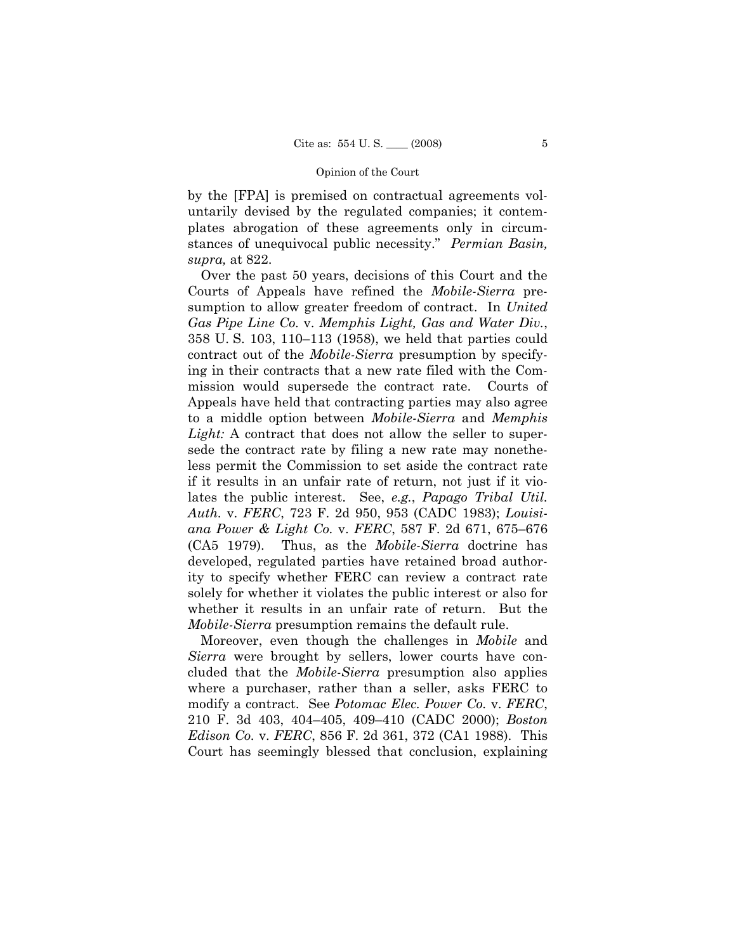by the [FPA] is premised on contractual agreements voluntarily devised by the regulated companies; it contemplates abrogation of these agreements only in circumstances of unequivocal public necessity." *Permian Basin, supra,* at 822.

 Over the past 50 years, decisions of this Court and the Courts of Appeals have refined the *Mobile-Sierra* presumption to allow greater freedom of contract. In *United Gas Pipe Line Co.* v. *Memphis Light, Gas and Water Div.*, 358 U. S. 103, 110–113 (1958), we held that parties could contract out of the *Mobile-Sierra* presumption by specifying in their contracts that a new rate filed with the Commission would supersede the contract rate. Courts of Appeals have held that contracting parties may also agree to a middle option between *Mobile-Sierra* and *Memphis Light:* A contract that does not allow the seller to supersede the contract rate by filing a new rate may nonetheless permit the Commission to set aside the contract rate if it results in an unfair rate of return, not just if it violates the public interest. See, *e.g.*, *Papago Tribal Util. Auth.* v. *FERC*, 723 F. 2d 950, 953 (CADC 1983); *Louisiana Power & Light Co.* v. *FERC*, 587 F. 2d 671, 675–676 (CA5 1979). Thus, as the *Mobile-Sierra* doctrine has developed, regulated parties have retained broad authority to specify whether FERC can review a contract rate solely for whether it violates the public interest or also for whether it results in an unfair rate of return. But the *Mobile-Sierra* presumption remains the default rule.

 Moreover, even though the challenges in *Mobile* and *Sierra* were brought by sellers, lower courts have concluded that the *Mobile-Sierra* presumption also applies where a purchaser, rather than a seller, asks FERC to modify a contract. See *Potomac Elec. Power Co.* v. *FERC*, 210 F. 3d 403, 404–405, 409–410 (CADC 2000); *Boston Edison Co.* v. *FERC*, 856 F. 2d 361, 372 (CA1 1988). This Court has seemingly blessed that conclusion, explaining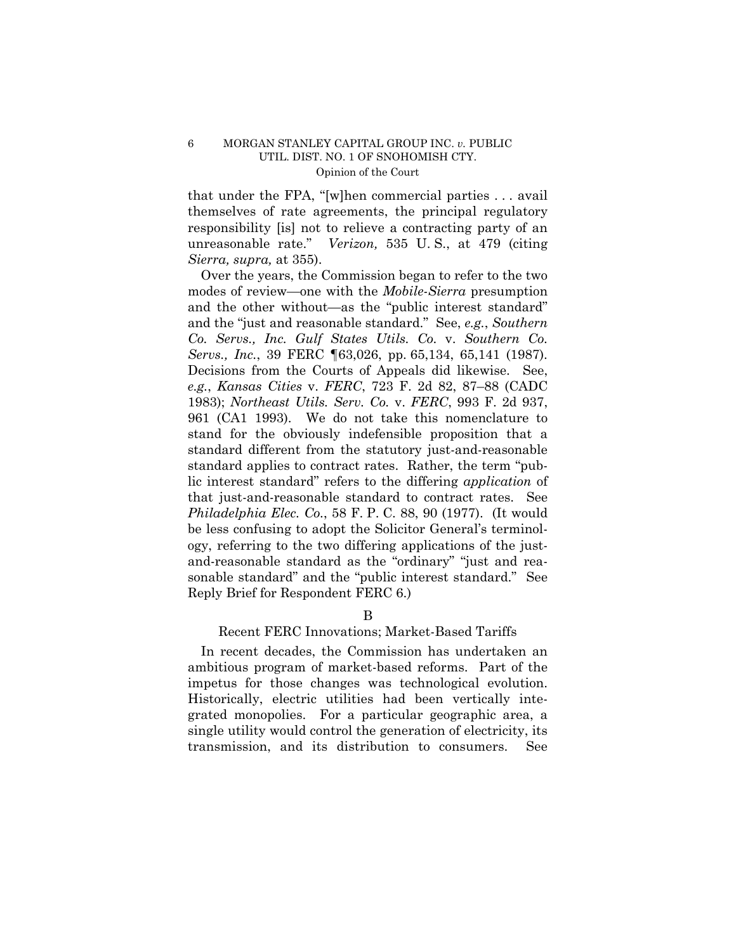that under the FPA, "[w]hen commercial parties . . . avail themselves of rate agreements, the principal regulatory responsibility [is] not to relieve a contracting party of an unreasonable rate." *Verizon,* 535 U. S., at 479 (citing *Sierra, supra,* at 355).

 Over the years, the Commission began to refer to the two modes of review—one with the *Mobile-Sierra* presumption and the other without—as the "public interest standard" and the "just and reasonable standard." See, *e.g.*, *Southern Co. Servs., Inc. Gulf States Utils. Co.* v. *Southern Co. Servs., Inc.*, 39 FERC ¶63,026, pp. 65,134, 65,141 (1987). Decisions from the Courts of Appeals did likewise. See, *e.g.*, *Kansas Cities* v. *FERC*, 723 F. 2d 82, 87–88 (CADC 1983); *Northeast Utils. Serv. Co.* v. *FERC*, 993 F. 2d 937, 961 (CA1 1993). We do not take this nomenclature to stand for the obviously indefensible proposition that a standard different from the statutory just-and-reasonable standard applies to contract rates. Rather, the term "public interest standard" refers to the differing *application* of that just-and-reasonable standard to contract rates. See *Philadelphia Elec. Co.*, 58 F. P. C. 88, 90 (1977). (It would be less confusing to adopt the Solicitor General's terminology, referring to the two differing applications of the justand-reasonable standard as the "ordinary" "just and reasonable standard" and the "public interest standard." See Reply Brief for Respondent FERC 6.)

# B

#### Recent FERC Innovations; Market-Based Tariffs

 In recent decades, the Commission has undertaken an ambitious program of market-based reforms. Part of the impetus for those changes was technological evolution. Historically, electric utilities had been vertically integrated monopolies. For a particular geographic area, a single utility would control the generation of electricity, its transmission, and its distribution to consumers. See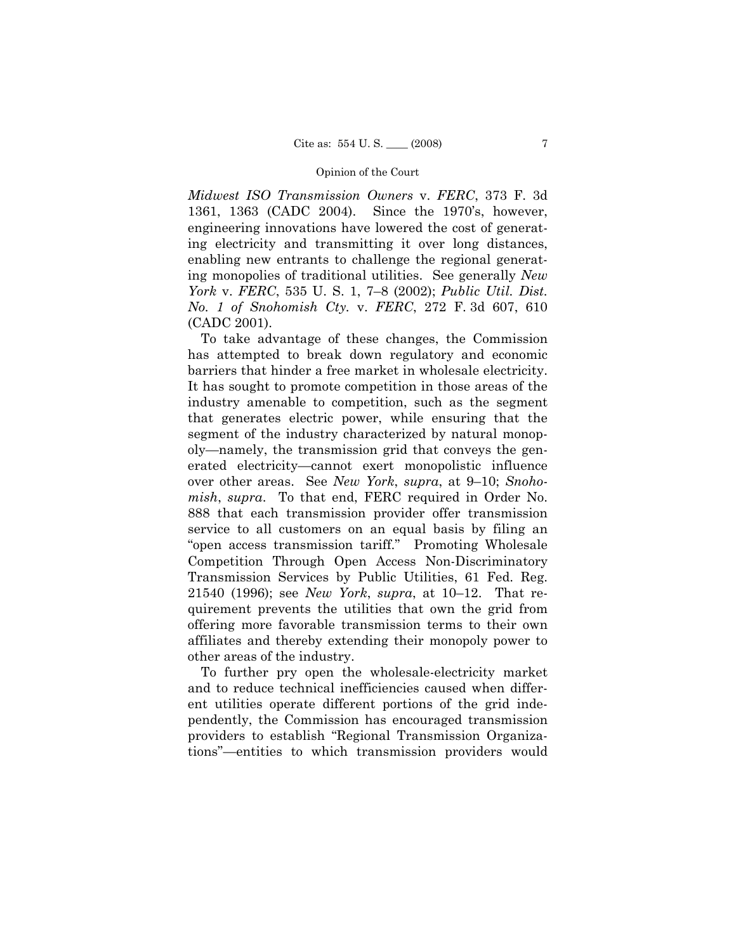*Midwest ISO Transmission Owners* v. *FERC*, 373 F. 3d 1361, 1363 (CADC 2004). Since the 1970's, however, engineering innovations have lowered the cost of generating electricity and transmitting it over long distances, enabling new entrants to challenge the regional generating monopolies of traditional utilities. See generally *New York* v. *FERC*, 535 U. S. 1, 7–8 (2002); *Public Util. Dist. No. 1 of Snohomish Cty.* v. *FERC*, 272 F. 3d 607, 610 (CADC 2001).

 To take advantage of these changes, the Commission has attempted to break down regulatory and economic barriers that hinder a free market in wholesale electricity. It has sought to promote competition in those areas of the industry amenable to competition, such as the segment that generates electric power, while ensuring that the segment of the industry characterized by natural monopoly—namely, the transmission grid that conveys the generated electricity—cannot exert monopolistic influence over other areas. See *New York*, *supra*, at 9–10; *Snohomish*, *supra*. To that end, FERC required in Order No. 888 that each transmission provider offer transmission service to all customers on an equal basis by filing an "open access transmission tariff." Promoting Wholesale Competition Through Open Access Non-Discriminatory Transmission Services by Public Utilities, 61 Fed. Reg. 21540 (1996); see *New York*, *supra*, at 10–12. That requirement prevents the utilities that own the grid from offering more favorable transmission terms to their own affiliates and thereby extending their monopoly power to other areas of the industry.

 To further pry open the wholesale-electricity market and to reduce technical inefficiencies caused when different utilities operate different portions of the grid independently, the Commission has encouraged transmission providers to establish "Regional Transmission Organizations"—entities to which transmission providers would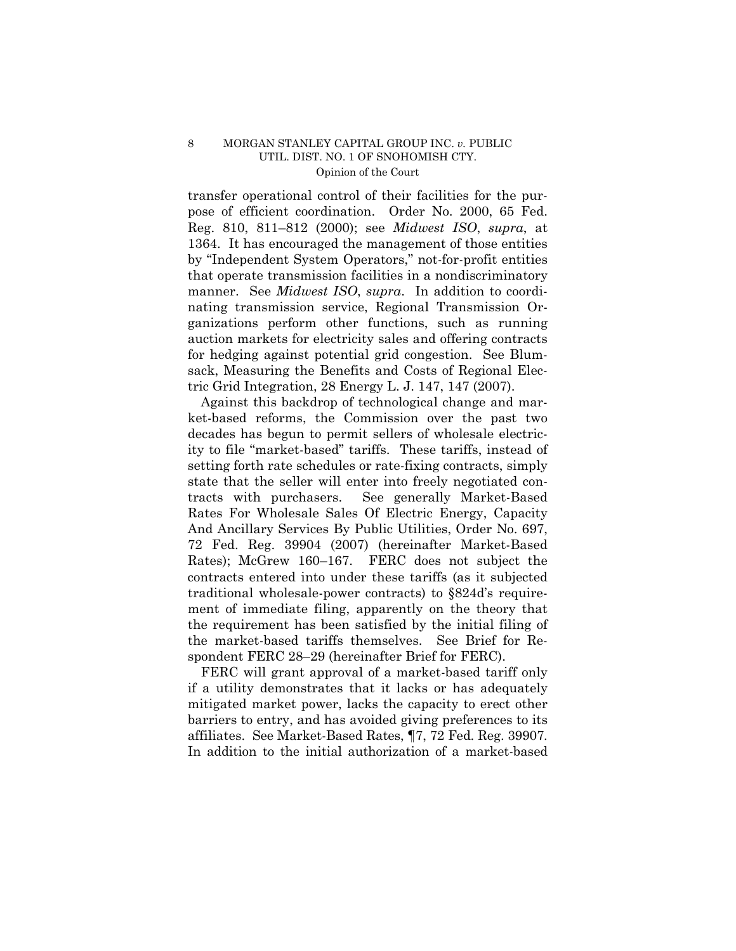transfer operational control of their facilities for the purpose of efficient coordination. Order No. 2000, 65 Fed. Reg. 810, 811–812 (2000); see *Midwest ISO*, *supra*, at 1364. It has encouraged the management of those entities by "Independent System Operators," not-for-profit entities that operate transmission facilities in a nondiscriminatory manner. See *Midwest ISO*, *supra*. In addition to coordinating transmission service, Regional Transmission Organizations perform other functions, such as running auction markets for electricity sales and offering contracts for hedging against potential grid congestion. See Blumsack, Measuring the Benefits and Costs of Regional Electric Grid Integration, 28 Energy L. J. 147, 147 (2007).

 Against this backdrop of technological change and market-based reforms, the Commission over the past two decades has begun to permit sellers of wholesale electricity to file "market-based" tariffs. These tariffs, instead of setting forth rate schedules or rate-fixing contracts, simply state that the seller will enter into freely negotiated contracts with purchasers. See generally Market-Based Rates For Wholesale Sales Of Electric Energy, Capacity And Ancillary Services By Public Utilities, Order No. 697, 72 Fed. Reg. 39904 (2007) (hereinafter Market-Based Rates); McGrew 160–167. FERC does not subject the contracts entered into under these tariffs (as it subjected traditional wholesale-power contracts) to §824d's requirement of immediate filing, apparently on the theory that the requirement has been satisfied by the initial filing of the market-based tariffs themselves. See Brief for Respondent FERC 28–29 (hereinafter Brief for FERC).

 FERC will grant approval of a market-based tariff only if a utility demonstrates that it lacks or has adequately mitigated market power, lacks the capacity to erect other barriers to entry, and has avoided giving preferences to its affiliates. See Market-Based Rates, ¶7, 72 Fed. Reg. 39907*.* In addition to the initial authorization of a market-based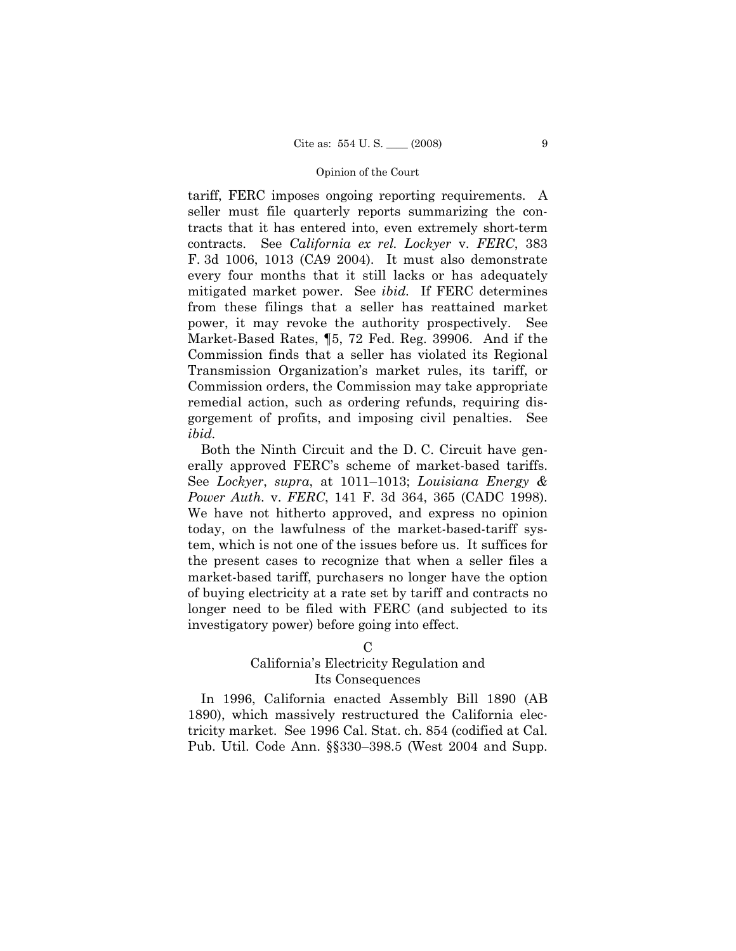tariff, FERC imposes ongoing reporting requirements. A seller must file quarterly reports summarizing the contracts that it has entered into, even extremely short-term contracts. See *California ex rel. Lockyer* v. *FERC*, 383 F. 3d 1006, 1013 (CA9 2004). It must also demonstrate every four months that it still lacks or has adequately mitigated market power. See *ibid.* If FERC determines from these filings that a seller has reattained market power, it may revoke the authority prospectively. See Market-Based Rates, ¶5, 72 Fed. Reg. 39906. And if the Commission finds that a seller has violated its Regional Transmission Organization's market rules, its tariff, or Commission orders, the Commission may take appropriate remedial action, such as ordering refunds, requiring disgorgement of profits, and imposing civil penalties. See *ibid.*

 Both the Ninth Circuit and the D. C. Circuit have generally approved FERC's scheme of market-based tariffs. See *Lockyer*, *supra*, at 1011–1013; *Louisiana Energy & Power Auth.* v. *FERC*, 141 F. 3d 364, 365 (CADC 1998). We have not hitherto approved, and express no opinion today, on the lawfulness of the market-based-tariff system, which is not one of the issues before us. It suffices for the present cases to recognize that when a seller files a market-based tariff, purchasers no longer have the option of buying electricity at a rate set by tariff and contracts no longer need to be filed with FERC (and subjected to its investigatory power) before going into effect.

#### $\mathcal{C}$

# California's Electricity Regulation and Its Consequences

 In 1996, California enacted Assembly Bill 1890 (AB 1890), which massively restructured the California electricity market. See 1996 Cal. Stat. ch. 854 (codified at Cal. Pub. Util. Code Ann. §§330–398.5 (West 2004 and Supp.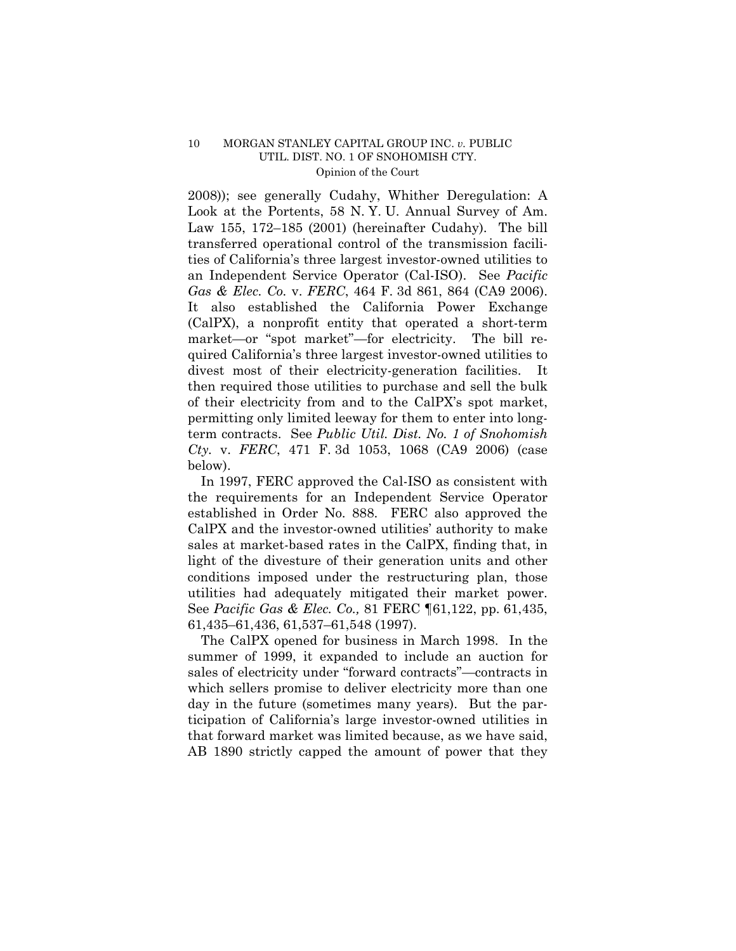2008)); see generally Cudahy, Whither Deregulation: A Look at the Portents, 58 N. Y. U. Annual Survey of Am. Law 155, 172–185 (2001) (hereinafter Cudahy). The bill transferred operational control of the transmission facilities of California's three largest investor-owned utilities to an Independent Service Operator (Cal-ISO). See *Pacific Gas & Elec. Co.* v. *FERC*, 464 F. 3d 861, 864 (CA9 2006). It also established the California Power Exchange (CalPX), a nonprofit entity that operated a short-term market—or "spot market"—for electricity. The bill required California's three largest investor-owned utilities to divest most of their electricity-generation facilities. It then required those utilities to purchase and sell the bulk of their electricity from and to the CalPX's spot market, permitting only limited leeway for them to enter into longterm contracts. See *Public Util. Dist. No. 1 of Snohomish Cty.* v. *FERC*, 471 F. 3d 1053, 1068 (CA9 2006) (case below).

 In 1997, FERC approved the Cal-ISO as consistent with the requirements for an Independent Service Operator established in Order No. 888. FERC also approved the CalPX and the investor-owned utilities' authority to make sales at market-based rates in the CalPX, finding that, in light of the divesture of their generation units and other conditions imposed under the restructuring plan, those utilities had adequately mitigated their market power. See *Pacific Gas & Elec. Co.,* 81 FERC ¶61,122, pp. 61,435, 61,435–61,436, 61,537–61,548 (1997).

 The CalPX opened for business in March 1998. In the summer of 1999, it expanded to include an auction for sales of electricity under "forward contracts"—contracts in which sellers promise to deliver electricity more than one day in the future (sometimes many years). But the participation of California's large investor-owned utilities in that forward market was limited because, as we have said, AB 1890 strictly capped the amount of power that they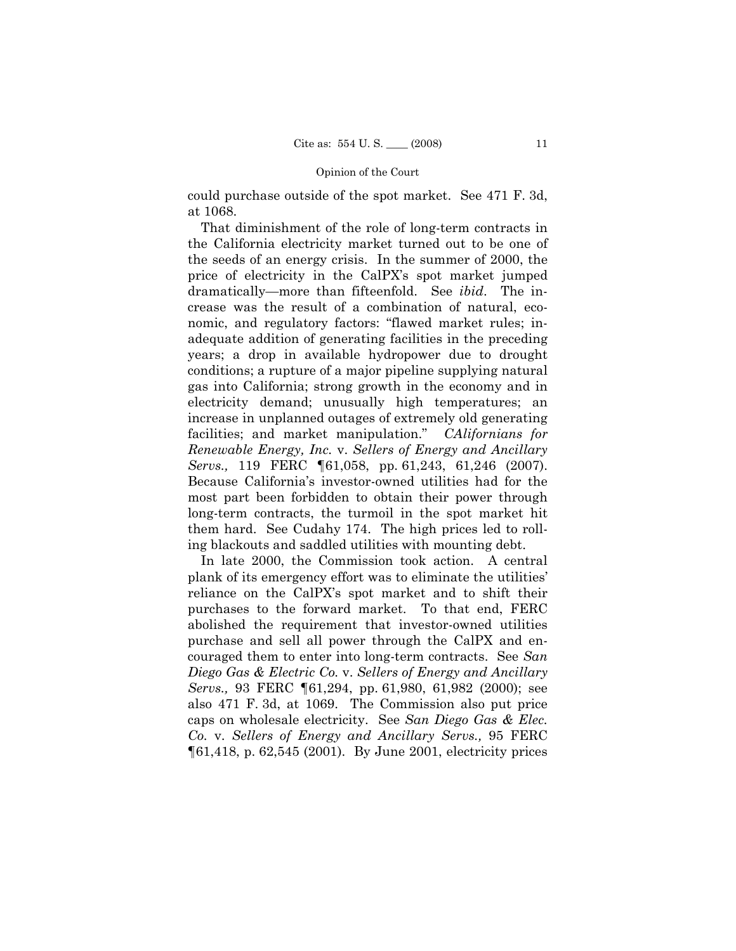could purchase outside of the spot market. See 471 F. 3d, at 1068.

 That diminishment of the role of long-term contracts in the California electricity market turned out to be one of the seeds of an energy crisis. In the summer of 2000, the price of electricity in the CalPX's spot market jumped dramatically—more than fifteenfold. See *ibid*. The increase was the result of a combination of natural, economic, and regulatory factors: "flawed market rules; inadequate addition of generating facilities in the preceding years; a drop in available hydropower due to drought conditions; a rupture of a major pipeline supplying natural gas into California; strong growth in the economy and in electricity demand; unusually high temperatures; an increase in unplanned outages of extremely old generating facilities; and market manipulation." *CAlifornians for Renewable Energy, Inc.* v. *Sellers of Energy and Ancillary Servs.,* 119 FERC ¶61,058, pp. 61,243, 61,246 (2007). Because California's investor-owned utilities had for the most part been forbidden to obtain their power through long-term contracts, the turmoil in the spot market hit them hard. See Cudahy 174. The high prices led to rolling blackouts and saddled utilities with mounting debt.

 In late 2000, the Commission took action. A central plank of its emergency effort was to eliminate the utilities' reliance on the CalPX's spot market and to shift their purchases to the forward market. To that end, FERC abolished the requirement that investor-owned utilities purchase and sell all power through the CalPX and encouraged them to enter into long-term contracts. See *San Diego Gas & Electric Co.* v. *Sellers of Energy and Ancillary Servs.,* 93 FERC ¶61,294, pp. 61,980, 61,982 (2000); see also 471 F. 3d, at 1069. The Commission also put price caps on wholesale electricity. See *San Diego Gas & Elec. Co.* v. *Sellers of Energy and Ancillary Servs.,* 95 FERC ¶61,418, p. 62,545 (2001). By June 2001, electricity prices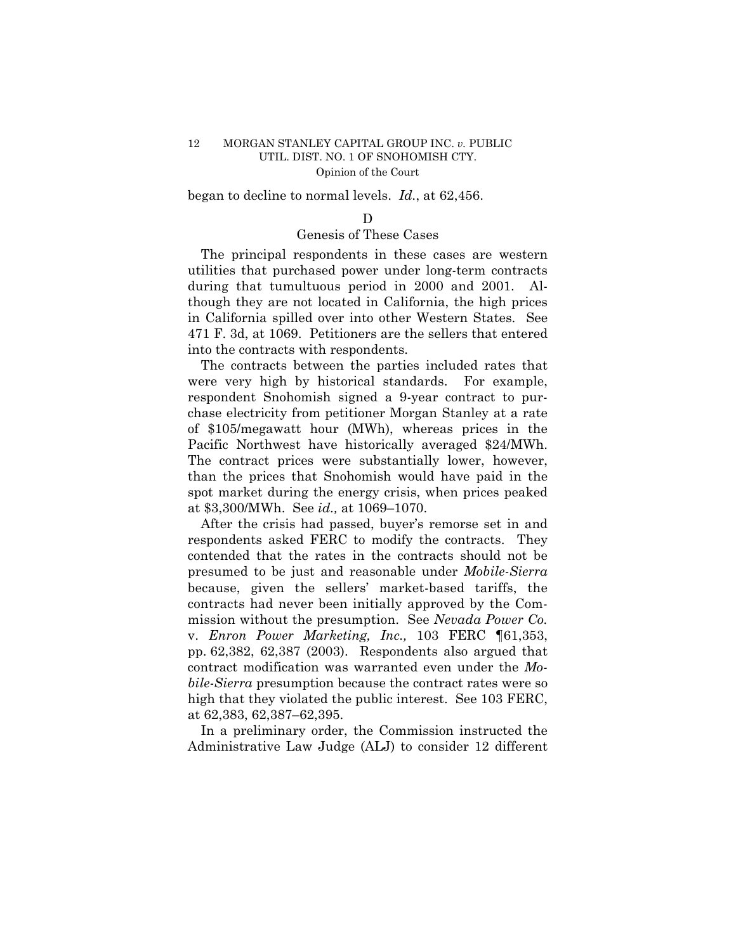began to decline to normal levels. *Id.*, at 62,456.

# D

# Genesis of These Cases

 The principal respondents in these cases are western utilities that purchased power under long-term contracts during that tumultuous period in 2000 and 2001. Although they are not located in California, the high prices in California spilled over into other Western States. See 471 F. 3d, at 1069. Petitioners are the sellers that entered into the contracts with respondents.

 The contracts between the parties included rates that were very high by historical standards. For example, respondent Snohomish signed a 9-year contract to purchase electricity from petitioner Morgan Stanley at a rate of \$105/megawatt hour (MWh), whereas prices in the Pacific Northwest have historically averaged \$24/MWh. The contract prices were substantially lower, however, than the prices that Snohomish would have paid in the spot market during the energy crisis, when prices peaked at \$3,300/MWh. See *id.,* at 1069–1070.

 After the crisis had passed, buyer's remorse set in and respondents asked FERC to modify the contracts. They contended that the rates in the contracts should not be presumed to be just and reasonable under *Mobile-Sierra* because, given the sellers' market-based tariffs, the contracts had never been initially approved by the Commission without the presumption. See *Nevada Power Co.*  v. *Enron Power Marketing, Inc.,* 103 FERC ¶61,353, pp. 62,382, 62,387 (2003). Respondents also argued that contract modification was warranted even under the *Mobile-Sierra* presumption because the contract rates were so high that they violated the public interest. See 103 FERC, at 62,383, 62,387–62,395.

 In a preliminary order, the Commission instructed the Administrative Law Judge (ALJ) to consider 12 different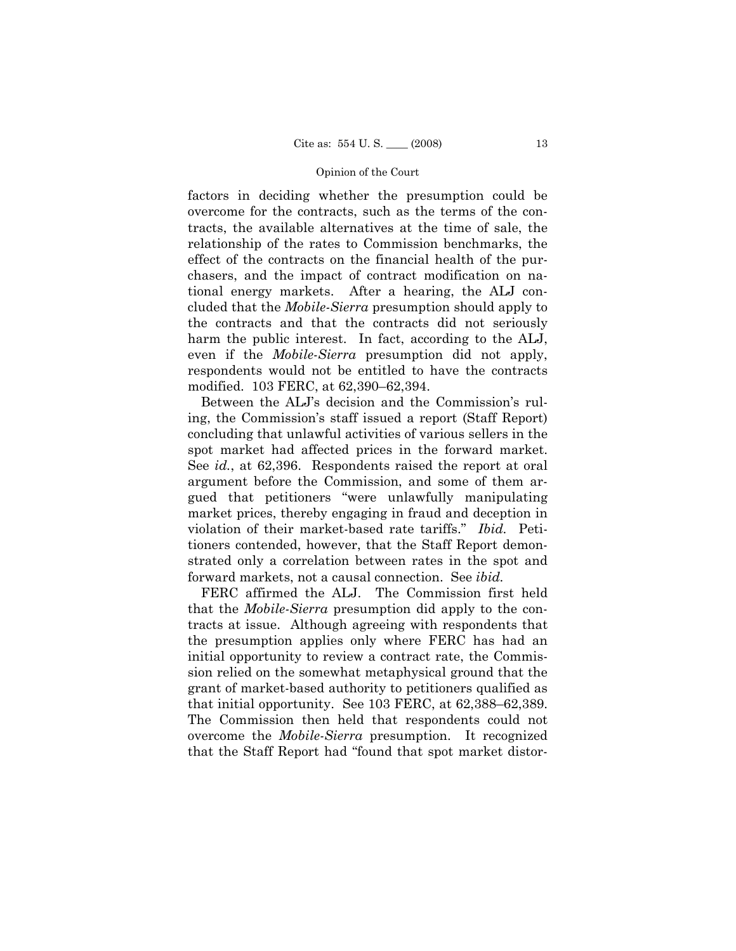factors in deciding whether the presumption could be overcome for the contracts, such as the terms of the contracts, the available alternatives at the time of sale, the relationship of the rates to Commission benchmarks, the effect of the contracts on the financial health of the purchasers, and the impact of contract modification on national energy markets. After a hearing, the ALJ concluded that the *Mobile-Sierra* presumption should apply to the contracts and that the contracts did not seriously harm the public interest. In fact, according to the ALJ, even if the *Mobile-Sierra* presumption did not apply, respondents would not be entitled to have the contracts modified. 103 FERC, at 62,390–62,394.

 Between the ALJ's decision and the Commission's ruling, the Commission's staff issued a report (Staff Report) concluding that unlawful activities of various sellers in the spot market had affected prices in the forward market. See *id.*, at 62,396. Respondents raised the report at oral argument before the Commission, and some of them argued that petitioners "were unlawfully manipulating market prices, thereby engaging in fraud and deception in violation of their market-based rate tariffs." *Ibid.* Petitioners contended, however, that the Staff Report demonstrated only a correlation between rates in the spot and forward markets, not a causal connection. See *ibid.*

 FERC affirmed the ALJ. The Commission first held that the *Mobile-Sierra* presumption did apply to the contracts at issue. Although agreeing with respondents that the presumption applies only where FERC has had an initial opportunity to review a contract rate, the Commission relied on the somewhat metaphysical ground that the grant of market-based authority to petitioners qualified as that initial opportunity. See 103 FERC, at 62,388–62,389. The Commission then held that respondents could not overcome the *Mobile-Sierra* presumption. It recognized that the Staff Report had "found that spot market distor-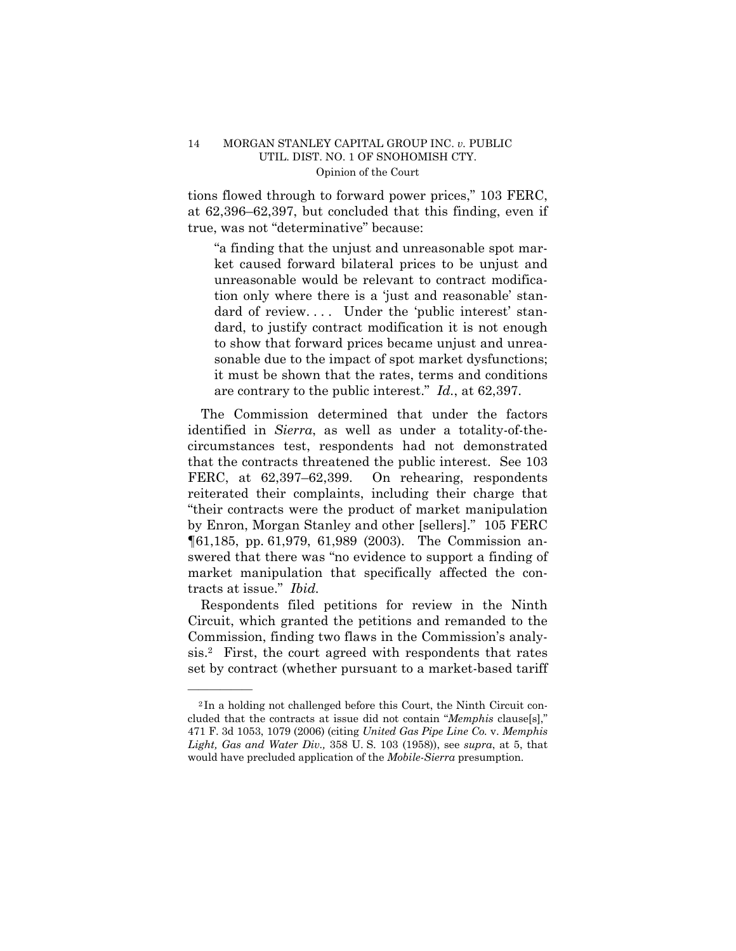tions flowed through to forward power prices," 103 FERC, at 62,396–62,397, but concluded that this finding, even if true, was not "determinative" because:

"a finding that the unjust and unreasonable spot market caused forward bilateral prices to be unjust and unreasonable would be relevant to contract modification only where there is a 'just and reasonable' standard of review.... Under the 'public interest' standard, to justify contract modification it is not enough to show that forward prices became unjust and unreasonable due to the impact of spot market dysfunctions; it must be shown that the rates, terms and conditions are contrary to the public interest." *Id.*, at 62,397.

 The Commission determined that under the factors identified in *Sierra*, as well as under a totality-of-thecircumstances test, respondents had not demonstrated that the contracts threatened the public interest. See 103 FERC, at 62,397–62,399. On rehearing, respondents reiterated their complaints, including their charge that "their contracts were the product of market manipulation by Enron, Morgan Stanley and other [sellers]." 105 FERC ¶61,185, pp. 61,979, 61,989 (2003). The Commission answered that there was "no evidence to support a finding of market manipulation that specifically affected the contracts at issue." *Ibid.*

 Respondents filed petitions for review in the Ninth Circuit, which granted the petitions and remanded to the Commission, finding two flaws in the Commission's analysis.2 First, the court agreed with respondents that rates set by contract (whether pursuant to a market-based tariff

<sup>2</sup> In a holding not challenged before this Court, the Ninth Circuit concluded that the contracts at issue did not contain "*Memphis* clause[s]," 471 F. 3d 1053, 1079 (2006) (citing *United Gas Pipe Line Co.* v. *Memphis Light, Gas and Water Div.,* 358 U. S. 103 (1958)), see *supra*, at 5, that would have precluded application of the *Mobile-Sierra* presumption.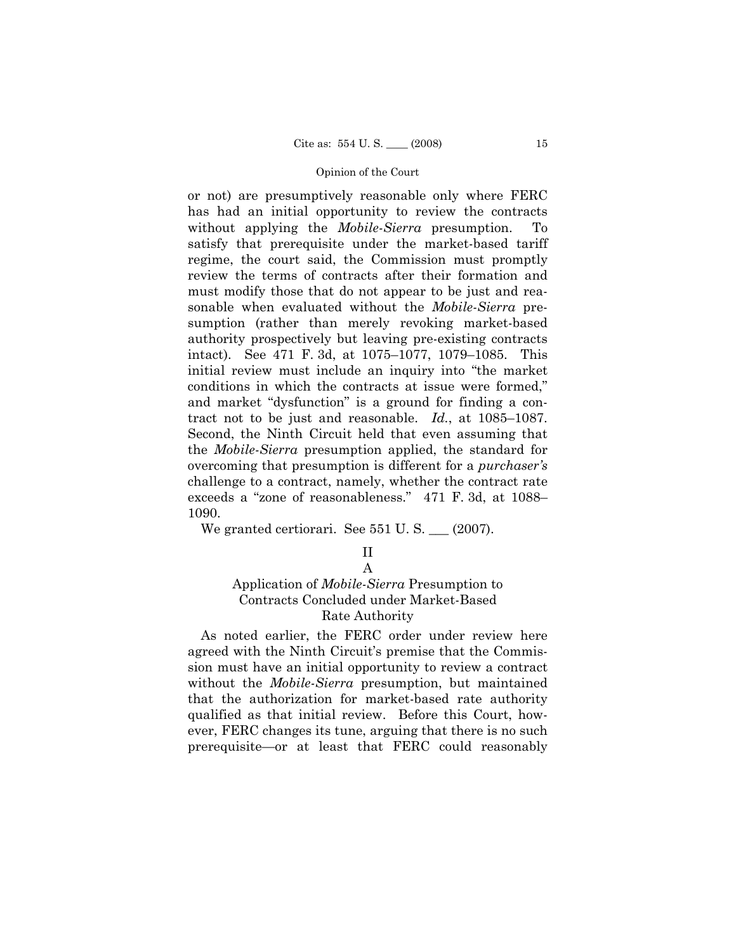or not) are presumptively reasonable only where FERC has had an initial opportunity to review the contracts without applying the *Mobile-Sierra* presumption. To satisfy that prerequisite under the market-based tariff regime, the court said, the Commission must promptly review the terms of contracts after their formation and must modify those that do not appear to be just and reasonable when evaluated without the *Mobile-Sierra* presumption (rather than merely revoking market-based authority prospectively but leaving pre-existing contracts intact). See 471 F. 3d, at 1075–1077, 1079–1085. This initial review must include an inquiry into "the market conditions in which the contracts at issue were formed," and market "dysfunction" is a ground for finding a contract not to be just and reasonable. *Id.*, at 1085–1087. Second, the Ninth Circuit held that even assuming that the *Mobile-Sierra* presumption applied, the standard for overcoming that presumption is different for a *purchaser's* challenge to a contract, namely, whether the contract rate exceeds a "zone of reasonableness." 471 F. 3d, at 1088– 1090.

We granted certiorari. See 551 U.S.  $\qquad$  (2007).

II A

# Application of *Mobile-Sierra* Presumption to Contracts Concluded under Market-Based Rate Authority

 As noted earlier, the FERC order under review here agreed with the Ninth Circuit's premise that the Commission must have an initial opportunity to review a contract without the *Mobile-Sierra* presumption, but maintained that the authorization for market-based rate authority qualified as that initial review. Before this Court, however, FERC changes its tune, arguing that there is no such prerequisite—or at least that FERC could reasonably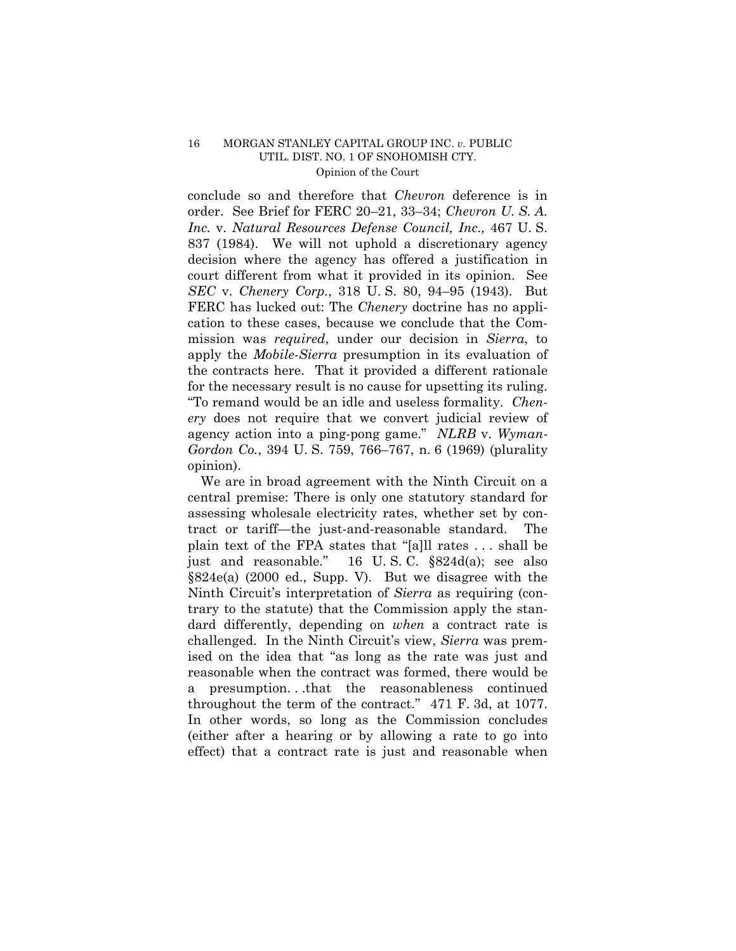conclude so and therefore that *Chevron* deference is in order. See Brief for FERC 20–21, 33–34; *Chevron U. S. A. Inc.* v. *Natural Resources Defense Council, Inc.,* 467 U. S. 837 (1984). We will not uphold a discretionary agency decision where the agency has offered a justification in court different from what it provided in its opinion. See *SEC* v. *Chenery Corp.*, 318 U. S. 80, 94–95 (1943). But FERC has lucked out: The *Chenery* doctrine has no application to these cases, because we conclude that the Commission was *required*, under our decision in *Sierra*, to apply the *Mobile-Sierra* presumption in its evaluation of the contracts here. That it provided a different rationale for the necessary result is no cause for upsetting its ruling. "To remand would be an idle and useless formality. *Chenery* does not require that we convert judicial review of agency action into a ping-pong game." *NLRB* v. *Wyman-Gordon Co.*, 394 U. S. 759, 766–767, n. 6 (1969) (plurality opinion).

 We are in broad agreement with the Ninth Circuit on a central premise: There is only one statutory standard for assessing wholesale electricity rates, whether set by contract or tariff—the just-and-reasonable standard. The plain text of the FPA states that "[a]ll rates . . . shall be just and reasonable." 16 U. S. C. §824d(a); see also §824e(a) (2000 ed., Supp. V). But we disagree with the Ninth Circuit's interpretation of *Sierra* as requiring (contrary to the statute) that the Commission apply the standard differently, depending on *when* a contract rate is challenged. In the Ninth Circuit's view, *Sierra* was premised on the idea that "as long as the rate was just and reasonable when the contract was formed, there would be a presumption. . .that the reasonableness continued throughout the term of the contract." 471 F. 3d, at 1077. In other words, so long as the Commission concludes (either after a hearing or by allowing a rate to go into effect) that a contract rate is just and reasonable when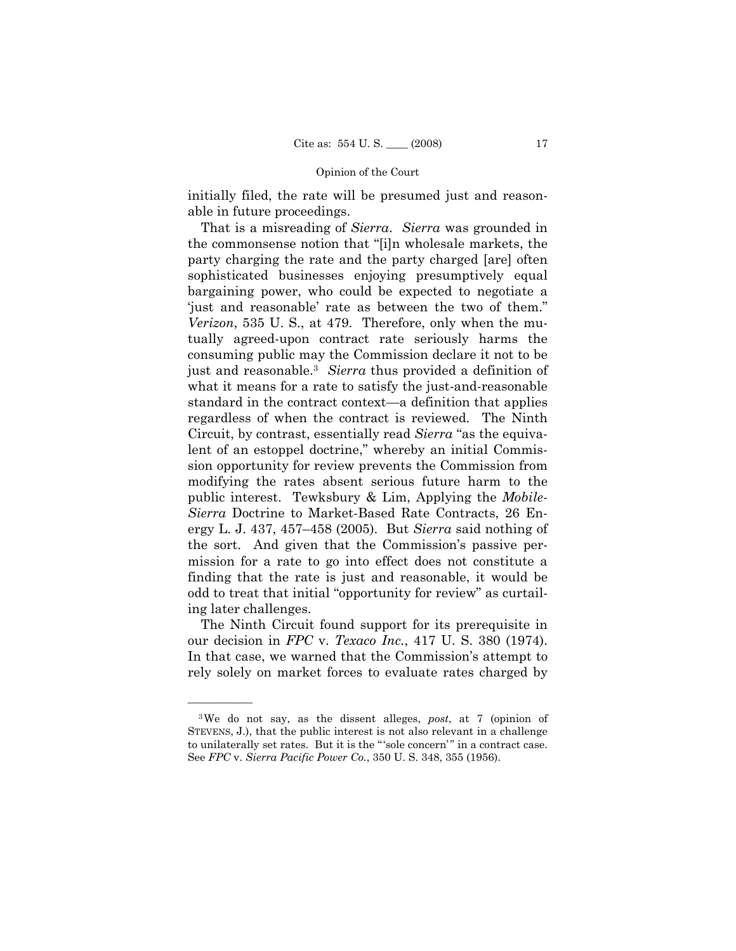initially filed, the rate will be presumed just and reasonable in future proceedings.

 That is a misreading of *Sierra*. *Sierra* was grounded in the commonsense notion that "[i]n wholesale markets, the party charging the rate and the party charged [are] often sophisticated businesses enjoying presumptively equal bargaining power, who could be expected to negotiate a 'just and reasonable' rate as between the two of them." *Verizon*, 535 U. S., at 479. Therefore, only when the mutually agreed-upon contract rate seriously harms the consuming public may the Commission declare it not to be just and reasonable.3 *Sierra* thus provided a definition of what it means for a rate to satisfy the just-and-reasonable standard in the contract context—a definition that applies regardless of when the contract is reviewed. The Ninth Circuit, by contrast, essentially read *Sierra* "as the equivalent of an estoppel doctrine," whereby an initial Commission opportunity for review prevents the Commission from modifying the rates absent serious future harm to the public interest. Tewksbury & Lim, Applying the *Mobile-Sierra* Doctrine to Market-Based Rate Contracts, 26 Energy L. J. 437, 457–458 (2005). But *Sierra* said nothing of the sort. And given that the Commission's passive permission for a rate to go into effect does not constitute a finding that the rate is just and reasonable, it would be odd to treat that initial "opportunity for review" as curtailing later challenges.

 The Ninth Circuit found support for its prerequisite in our decision in *FPC* v. *Texaco Inc.*, 417 U. S. 380 (1974). In that case, we warned that the Commission's attempt to rely solely on market forces to evaluate rates charged by

<sup>3</sup>We do not say, as the dissent alleges, *post*, at 7 (opinion of STEVENS, J.), that the public interest is not also relevant in a challenge to unilaterally set rates. But it is the "'sole concern'" in a contract case. See *FPC* v. *Sierra Pacific Power Co.*, 350 U. S. 348, 355 (1956).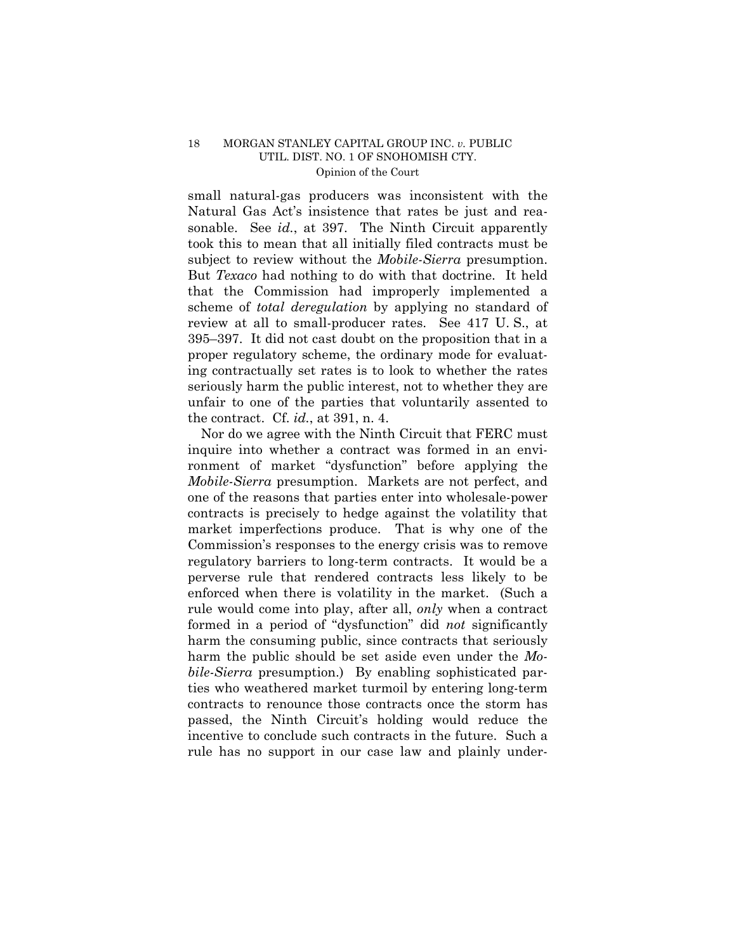small natural-gas producers was inconsistent with the Natural Gas Act's insistence that rates be just and reasonable. See *id.*, at 397. The Ninth Circuit apparently took this to mean that all initially filed contracts must be subject to review without the *Mobile-Sierra* presumption. But *Texaco* had nothing to do with that doctrine. It held that the Commission had improperly implemented a scheme of *total deregulation* by applying no standard of review at all to small-producer rates. See 417 U. S., at 395–397. It did not cast doubt on the proposition that in a proper regulatory scheme, the ordinary mode for evaluating contractually set rates is to look to whether the rates seriously harm the public interest, not to whether they are unfair to one of the parties that voluntarily assented to the contract. Cf. *id.*, at 391, n. 4.

 Nor do we agree with the Ninth Circuit that FERC must inquire into whether a contract was formed in an environment of market "dysfunction" before applying the *Mobile-Sierra* presumption. Markets are not perfect, and one of the reasons that parties enter into wholesale-power contracts is precisely to hedge against the volatility that market imperfections produce. That is why one of the Commission's responses to the energy crisis was to remove regulatory barriers to long-term contracts. It would be a perverse rule that rendered contracts less likely to be enforced when there is volatility in the market. (Such a rule would come into play, after all, *only* when a contract formed in a period of "dysfunction" did *not* significantly harm the consuming public, since contracts that seriously harm the public should be set aside even under the *Mobile-Sierra* presumption.) By enabling sophisticated parties who weathered market turmoil by entering long-term contracts to renounce those contracts once the storm has passed, the Ninth Circuit's holding would reduce the incentive to conclude such contracts in the future. Such a rule has no support in our case law and plainly under-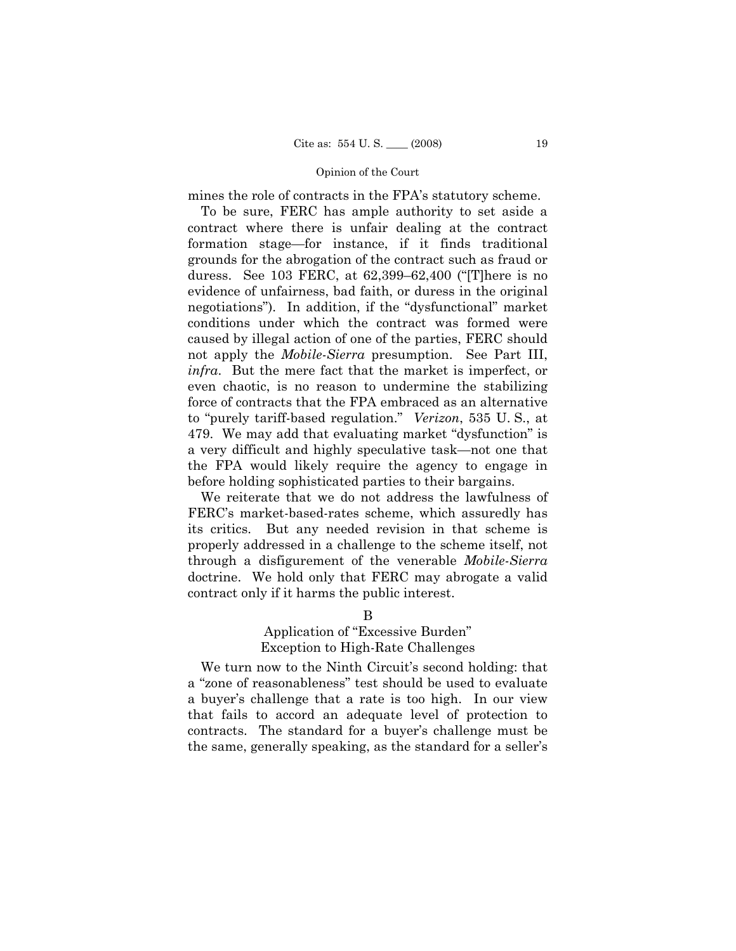mines the role of contracts in the FPA's statutory scheme.

 To be sure, FERC has ample authority to set aside a contract where there is unfair dealing at the contract formation stage—for instance, if it finds traditional grounds for the abrogation of the contract such as fraud or duress. See 103 FERC, at 62,399–62,400 ("[T]here is no evidence of unfairness, bad faith, or duress in the original negotiations"). In addition, if the "dysfunctional" market conditions under which the contract was formed were caused by illegal action of one of the parties, FERC should not apply the *Mobile-Sierra* presumption. See Part III, *infra*. But the mere fact that the market is imperfect, or even chaotic, is no reason to undermine the stabilizing force of contracts that the FPA embraced as an alternative to "purely tariff-based regulation." *Verizon*, 535 U. S., at 479. We may add that evaluating market "dysfunction" is a very difficult and highly speculative task—not one that the FPA would likely require the agency to engage in before holding sophisticated parties to their bargains.

 We reiterate that we do not address the lawfulness of FERC's market-based-rates scheme, which assuredly has its critics. But any needed revision in that scheme is properly addressed in a challenge to the scheme itself, not through a disfigurement of the venerable *Mobile-Sierra* doctrine. We hold only that FERC may abrogate a valid contract only if it harms the public interest.

#### B

# Application of "Excessive Burden" Exception to High-Rate Challenges

 We turn now to the Ninth Circuit's second holding: that a "zone of reasonableness" test should be used to evaluate a buyer's challenge that a rate is too high. In our view that fails to accord an adequate level of protection to contracts. The standard for a buyer's challenge must be the same, generally speaking, as the standard for a seller's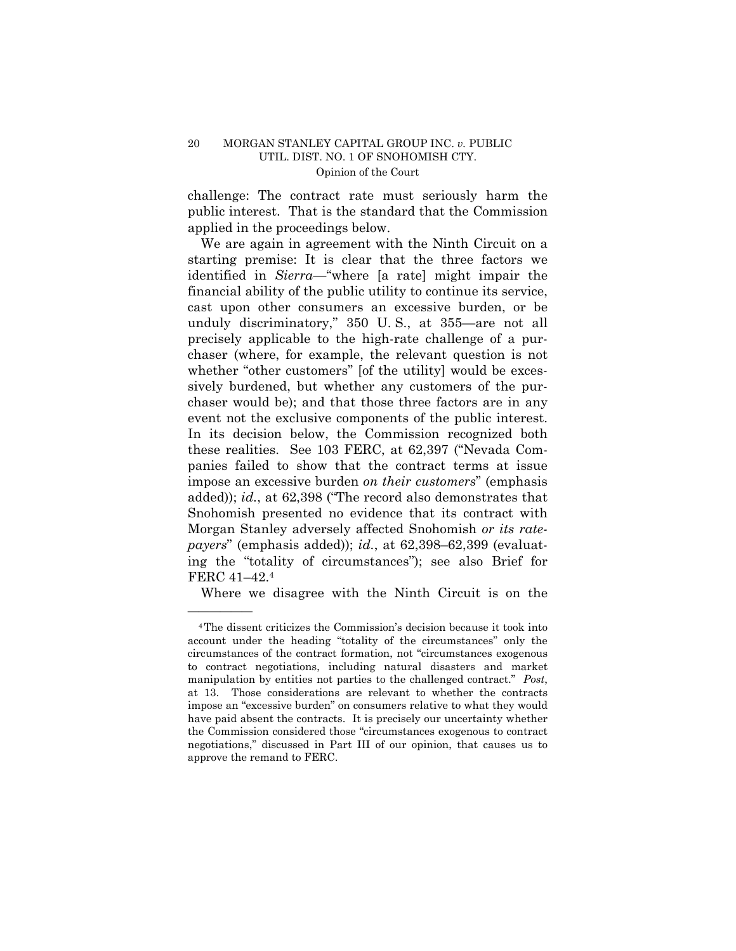challenge: The contract rate must seriously harm the public interest. That is the standard that the Commission applied in the proceedings below.

 We are again in agreement with the Ninth Circuit on a starting premise: It is clear that the three factors we identified in *Sierra*—"where [a rate] might impair the financial ability of the public utility to continue its service, cast upon other consumers an excessive burden, or be unduly discriminatory," 350 U. S., at 355—are not all precisely applicable to the high-rate challenge of a purchaser (where, for example, the relevant question is not whether "other customers" [of the utility] would be excessively burdened, but whether any customers of the purchaser would be); and that those three factors are in any event not the exclusive components of the public interest. In its decision below, the Commission recognized both these realities. See 103 FERC, at 62,397 ("Nevada Companies failed to show that the contract terms at issue impose an excessive burden *on their customers*" (emphasis added)); *id.*, at 62,398 ("The record also demonstrates that Snohomish presented no evidence that its contract with Morgan Stanley adversely affected Snohomish *or its ratepayers*" (emphasis added)); *id.*, at 62,398–62,399 (evaluating the "totality of circumstances"); see also Brief for FERC 41–42.4

Where we disagree with the Ninth Circuit is on the

<sup>4</sup>The dissent criticizes the Commission's decision because it took into account under the heading "totality of the circumstances" only the circumstances of the contract formation, not "circumstances exogenous to contract negotiations, including natural disasters and market manipulation by entities not parties to the challenged contract." *Post*, at 13. Those considerations are relevant to whether the contracts impose an "excessive burden" on consumers relative to what they would have paid absent the contracts. It is precisely our uncertainty whether the Commission considered those "circumstances exogenous to contract negotiations," discussed in Part III of our opinion, that causes us to approve the remand to FERC.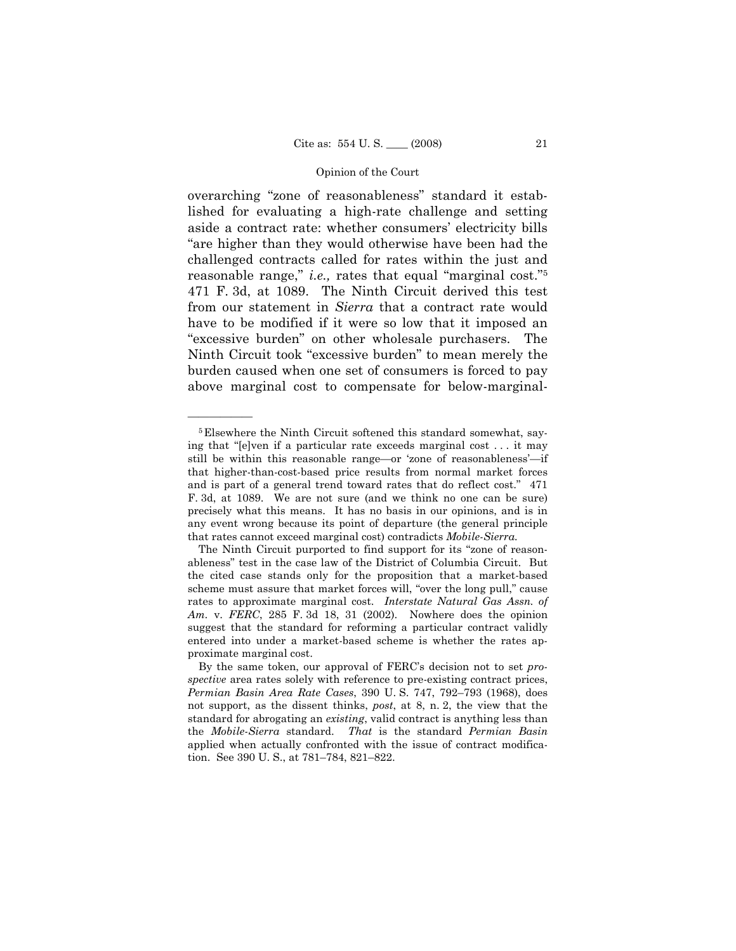overarching "zone of reasonableness" standard it established for evaluating a high-rate challenge and setting aside a contract rate: whether consumers' electricity bills "are higher than they would otherwise have been had the challenged contracts called for rates within the just and reasonable range," *i.e.,* rates that equal "marginal cost."5 471 F. 3d, at 1089. The Ninth Circuit derived this test from our statement in *Sierra* that a contract rate would have to be modified if it were so low that it imposed an "excessive burden" on other wholesale purchasers. The Ninth Circuit took "excessive burden" to mean merely the burden caused when one set of consumers is forced to pay above marginal cost to compensate for below-marginal-

<sup>5</sup>Elsewhere the Ninth Circuit softened this standard somewhat, saying that "[e]ven if a particular rate exceeds marginal cost . . . it may still be within this reasonable range—or 'zone of reasonableness'—if that higher-than-cost-based price results from normal market forces and is part of a general trend toward rates that do reflect cost." 471 F. 3d, at 1089. We are not sure (and we think no one can be sure) precisely what this means. It has no basis in our opinions, and is in any event wrong because its point of departure (the general principle that rates cannot exceed marginal cost) contradicts *Mobile-Sierra.*

The Ninth Circuit purported to find support for its "zone of reasonableness" test in the case law of the District of Columbia Circuit. But the cited case stands only for the proposition that a market-based scheme must assure that market forces will, "over the long pull," cause rates to approximate marginal cost. *Interstate Natural Gas Assn. of Am.* v. *FERC*, 285 F. 3d 18, 31 (2002). Nowhere does the opinion suggest that the standard for reforming a particular contract validly entered into under a market-based scheme is whether the rates approximate marginal cost.

By the same token, our approval of FERC's decision not to set *prospective* area rates solely with reference to pre-existing contract prices, *Permian Basin Area Rate Cases*, 390 U. S. 747, 792–793 (1968), does not support, as the dissent thinks, *post*, at 8, n. 2, the view that the standard for abrogating an *existing*, valid contract is anything less than the *Mobile-Sierra* standard. *That* is the standard *Permian Basin* applied when actually confronted with the issue of contract modification. See 390 U. S., at 781–784, 821–822.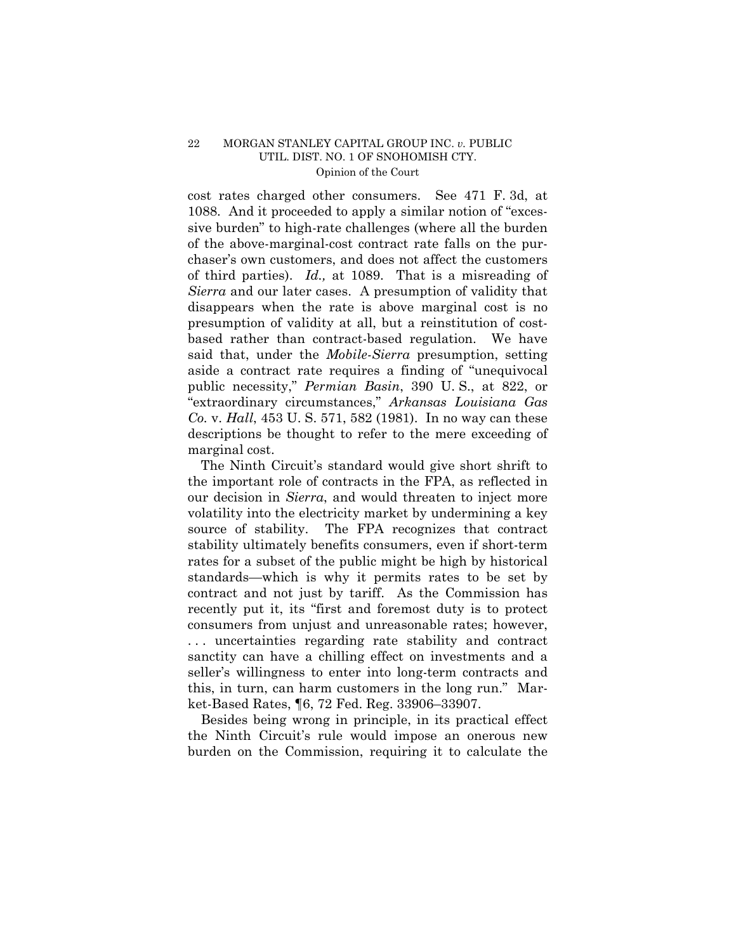cost rates charged other consumers. See 471 F. 3d, at 1088. And it proceeded to apply a similar notion of "excessive burden" to high-rate challenges (where all the burden of the above-marginal-cost contract rate falls on the purchaser's own customers, and does not affect the customers of third parties). *Id.,* at 1089. That is a misreading of *Sierra* and our later cases. A presumption of validity that disappears when the rate is above marginal cost is no presumption of validity at all, but a reinstitution of costbased rather than contract-based regulation. We have said that, under the *Mobile-Sierra* presumption, setting aside a contract rate requires a finding of "unequivocal public necessity," *Permian Basin*, 390 U. S., at 822, or "extraordinary circumstances," *Arkansas Louisiana Gas Co.* v. *Hall*, 453 U. S. 571, 582 (1981). In no way can these descriptions be thought to refer to the mere exceeding of marginal cost.

 The Ninth Circuit's standard would give short shrift to the important role of contracts in the FPA, as reflected in our decision in *Sierra*, and would threaten to inject more volatility into the electricity market by undermining a key source of stability. The FPA recognizes that contract stability ultimately benefits consumers, even if short-term rates for a subset of the public might be high by historical standards—which is why it permits rates to be set by contract and not just by tariff. As the Commission has recently put it, its "first and foremost duty is to protect consumers from unjust and unreasonable rates; however, . . . uncertainties regarding rate stability and contract sanctity can have a chilling effect on investments and a seller's willingness to enter into long-term contracts and this, in turn, can harm customers in the long run." Market-Based Rates, ¶6, 72 Fed. Reg. 33906–33907.

 Besides being wrong in principle, in its practical effect the Ninth Circuit's rule would impose an onerous new burden on the Commission, requiring it to calculate the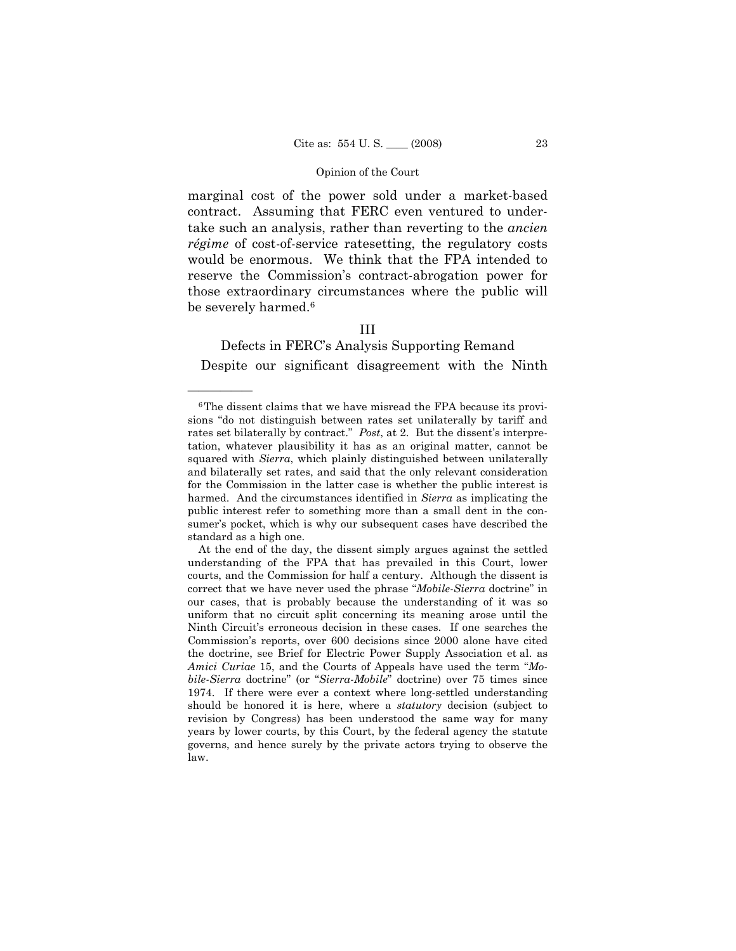marginal cost of the power sold under a market-based contract. Assuming that FERC even ventured to undertake such an analysis, rather than reverting to the *ancien régime* of cost-of-service ratesetting, the regulatory costs would be enormous. We think that the FPA intended to reserve the Commission's contract-abrogation power for those extraordinary circumstances where the public will be severely harmed.<sup>6</sup>

# III

——————

# Defects in FERC's Analysis Supporting Remand Despite our significant disagreement with the Ninth

<sup>6</sup>The dissent claims that we have misread the FPA because its provisions "do not distinguish between rates set unilaterally by tariff and rates set bilaterally by contract." *Post*, at 2. But the dissent's interpretation, whatever plausibility it has as an original matter, cannot be squared with *Sierra*, which plainly distinguished between unilaterally and bilaterally set rates, and said that the only relevant consideration for the Commission in the latter case is whether the public interest is harmed. And the circumstances identified in *Sierra* as implicating the public interest refer to something more than a small dent in the consumer's pocket, which is why our subsequent cases have described the standard as a high one.

At the end of the day, the dissent simply argues against the settled understanding of the FPA that has prevailed in this Court, lower courts, and the Commission for half a century. Although the dissent is correct that we have never used the phrase "*Mobile-Sierra* doctrine" in our cases, that is probably because the understanding of it was so uniform that no circuit split concerning its meaning arose until the Ninth Circuit's erroneous decision in these cases. If one searches the Commission's reports, over 600 decisions since 2000 alone have cited the doctrine, see Brief for Electric Power Supply Association et al. as *Amici Curiae* 15, and the Courts of Appeals have used the term "*Mobile-Sierra* doctrine" (or "*Sierra-Mobile*" doctrine) over 75 times since 1974. If there were ever a context where long-settled understanding should be honored it is here, where a *statutory* decision (subject to revision by Congress) has been understood the same way for many years by lower courts, by this Court, by the federal agency the statute governs, and hence surely by the private actors trying to observe the law.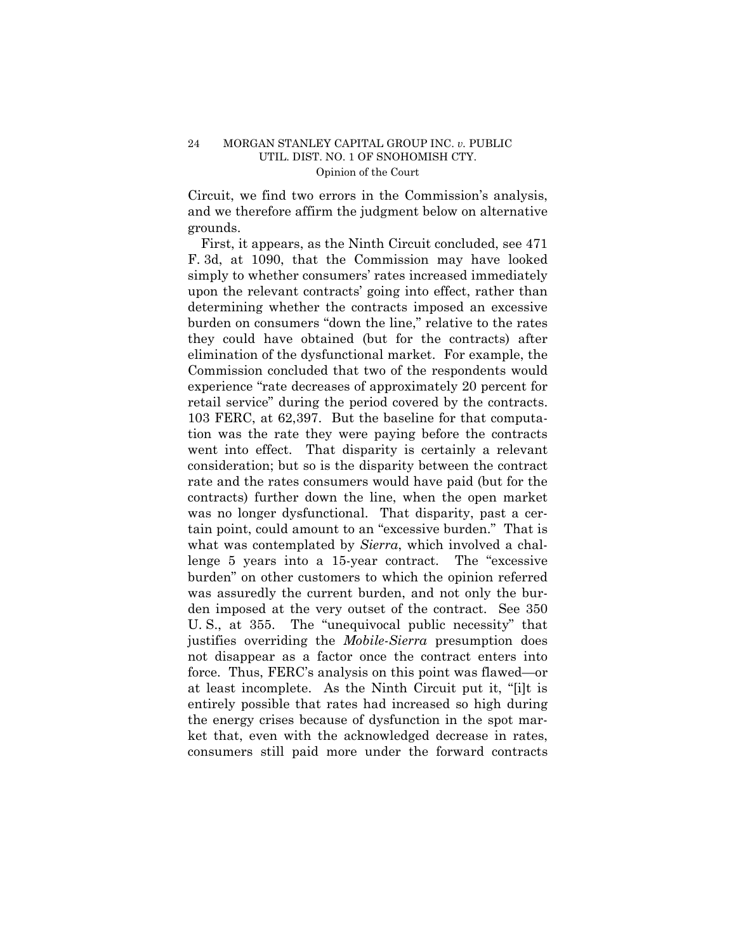Circuit, we find two errors in the Commission's analysis, and we therefore affirm the judgment below on alternative grounds.

 First, it appears, as the Ninth Circuit concluded, see 471 F. 3d, at 1090, that the Commission may have looked simply to whether consumers' rates increased immediately upon the relevant contracts' going into effect, rather than determining whether the contracts imposed an excessive burden on consumers "down the line," relative to the rates they could have obtained (but for the contracts) after elimination of the dysfunctional market. For example, the Commission concluded that two of the respondents would experience "rate decreases of approximately 20 percent for retail service" during the period covered by the contracts. 103 FERC, at 62,397. But the baseline for that computation was the rate they were paying before the contracts went into effect. That disparity is certainly a relevant consideration; but so is the disparity between the contract rate and the rates consumers would have paid (but for the contracts) further down the line, when the open market was no longer dysfunctional. That disparity, past a certain point, could amount to an "excessive burden." That is what was contemplated by *Sierra*, which involved a challenge 5 years into a 15-year contract. The "excessive burden" on other customers to which the opinion referred was assuredly the current burden, and not only the burden imposed at the very outset of the contract. See 350 U. S., at 355. The "unequivocal public necessity" that justifies overriding the *Mobile-Sierra* presumption does not disappear as a factor once the contract enters into force. Thus, FERC's analysis on this point was flawed—or at least incomplete. As the Ninth Circuit put it, "[i]t is entirely possible that rates had increased so high during the energy crises because of dysfunction in the spot market that, even with the acknowledged decrease in rates, consumers still paid more under the forward contracts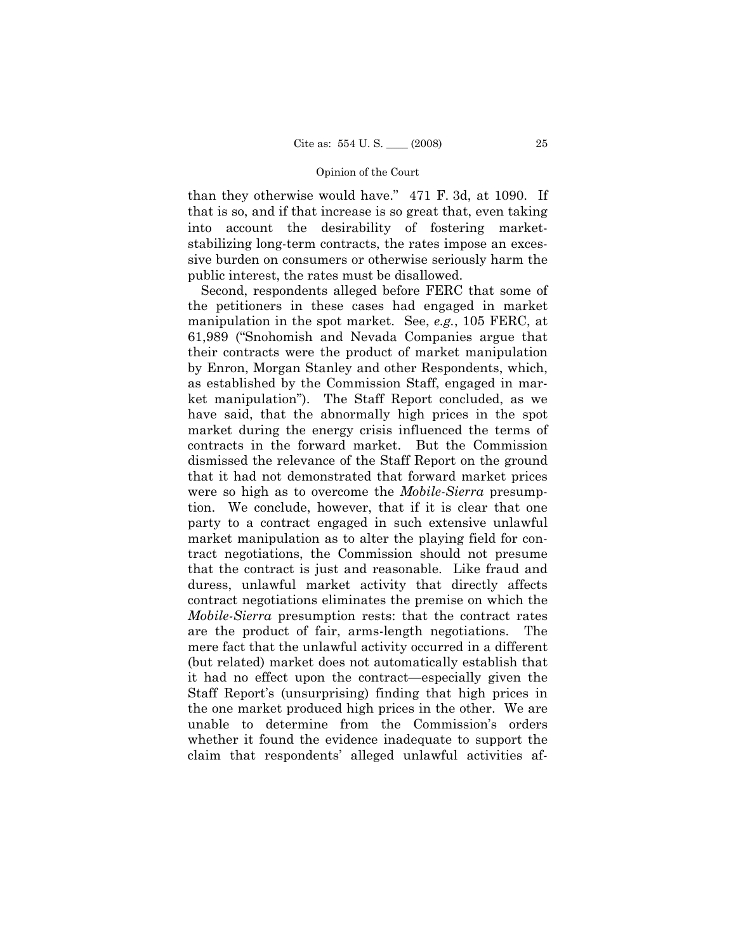than they otherwise would have." 471 F. 3d, at 1090. If that is so, and if that increase is so great that, even taking into account the desirability of fostering marketstabilizing long-term contracts, the rates impose an excessive burden on consumers or otherwise seriously harm the public interest, the rates must be disallowed.

 Second, respondents alleged before FERC that some of the petitioners in these cases had engaged in market manipulation in the spot market. See, *e.g.*, 105 FERC, at 61,989 ("Snohomish and Nevada Companies argue that their contracts were the product of market manipulation by Enron, Morgan Stanley and other Respondents, which, as established by the Commission Staff, engaged in market manipulation"). The Staff Report concluded, as we have said, that the abnormally high prices in the spot market during the energy crisis influenced the terms of contracts in the forward market. But the Commission dismissed the relevance of the Staff Report on the ground that it had not demonstrated that forward market prices were so high as to overcome the *Mobile-Sierra* presumption. We conclude, however, that if it is clear that one party to a contract engaged in such extensive unlawful market manipulation as to alter the playing field for contract negotiations, the Commission should not presume that the contract is just and reasonable. Like fraud and duress, unlawful market activity that directly affects contract negotiations eliminates the premise on which the *Mobile-Sierra* presumption rests: that the contract rates are the product of fair, arms-length negotiations. The mere fact that the unlawful activity occurred in a different (but related) market does not automatically establish that it had no effect upon the contract—especially given the Staff Report's (unsurprising) finding that high prices in the one market produced high prices in the other. We are unable to determine from the Commission's orders whether it found the evidence inadequate to support the claim that respondents' alleged unlawful activities af-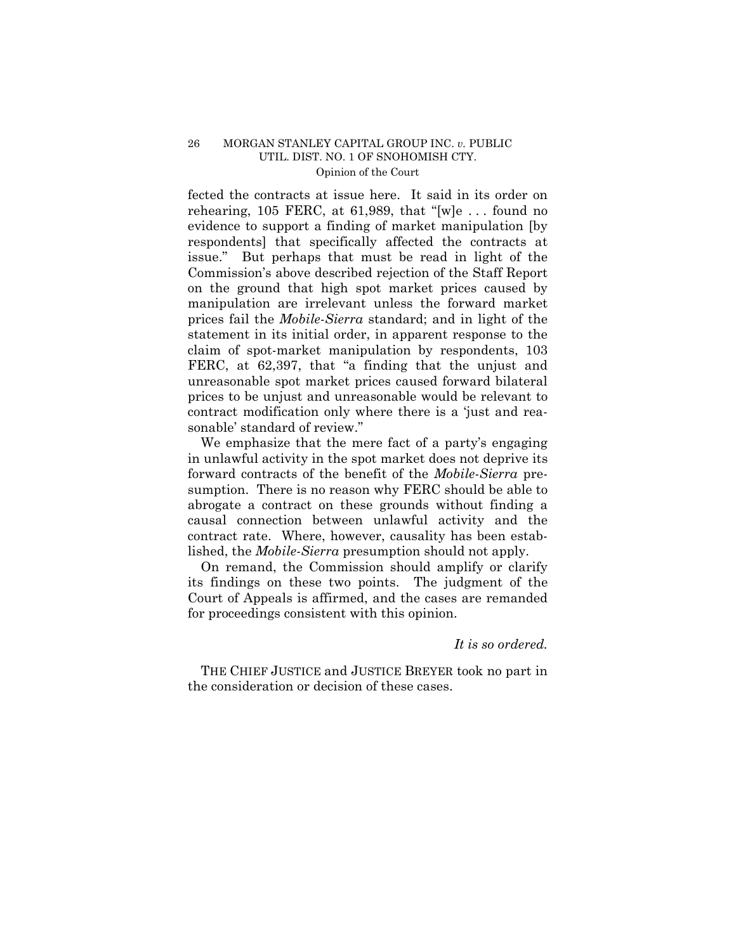fected the contracts at issue here. It said in its order on rehearing, 105 FERC, at 61,989, that "[w]e  $\ldots$  found no evidence to support a finding of market manipulation [by respondents] that specifically affected the contracts at issue." But perhaps that must be read in light of the Commission's above described rejection of the Staff Report on the ground that high spot market prices caused by manipulation are irrelevant unless the forward market prices fail the *Mobile-Sierra* standard; and in light of the statement in its initial order, in apparent response to the claim of spot-market manipulation by respondents, 103 FERC, at 62,397, that "a finding that the unjust and unreasonable spot market prices caused forward bilateral prices to be unjust and unreasonable would be relevant to contract modification only where there is a 'just and reasonable' standard of review."

 We emphasize that the mere fact of a party's engaging in unlawful activity in the spot market does not deprive its forward contracts of the benefit of the *Mobile-Sierra* presumption. There is no reason why FERC should be able to abrogate a contract on these grounds without finding a causal connection between unlawful activity and the contract rate. Where, however, causality has been established, the *Mobile-Sierra* presumption should not apply.

 On remand, the Commission should amplify or clarify its findings on these two points. The judgment of the Court of Appeals is affirmed, and the cases are remanded for proceedings consistent with this opinion.

#### *It is so ordered.*

 THE CHIEF JUSTICE and JUSTICE BREYER took no part in the consideration or decision of these cases.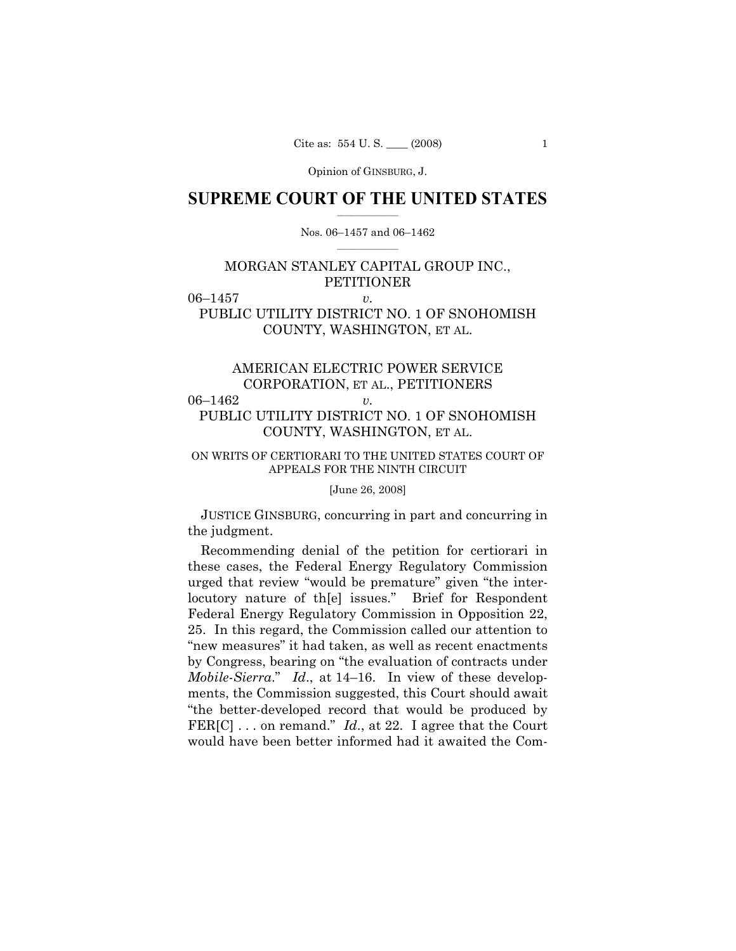Opinion of GINSBURG, J.

#### **SUPREME COURT OF THE UNITED STATES**  $\frac{1}{2}$  , where  $\frac{1}{2}$

#### Nos. 06–1457 and 06–1462  $\frac{1}{2}$  ,  $\frac{1}{2}$  ,  $\frac{1}{2}$  ,  $\frac{1}{2}$  ,  $\frac{1}{2}$  ,  $\frac{1}{2}$

# MORGAN STANLEY CAPITAL GROUP INC., **PETITIONER**

## 06–1457 *v.*

# PUBLIC UTILITY DISTRICT NO. 1 OF SNOHOMISH COUNTY, WASHINGTON, ET AL.

# AMERICAN ELECTRIC POWER SERVICE CORPORATION, ET AL., PETITIONERS

#### 06–1462 *v.*

# PUBLIC UTILITY DISTRICT NO. 1 OF SNOHOMISH COUNTY, WASHINGTON, ET AL.

# ON WRITS OF CERTIORARI TO THE UNITED STATES COURT OF APPEALS FOR THE NINTH CIRCUIT

#### [June 26, 2008]

 JUSTICE GINSBURG, concurring in part and concurring in the judgment.

 Recommending denial of the petition for certiorari in these cases, the Federal Energy Regulatory Commission urged that review "would be premature" given "the interlocutory nature of th[e] issues." Brief for Respondent Federal Energy Regulatory Commission in Opposition 22, 25. In this regard, the Commission called our attention to "new measures" it had taken, as well as recent enactments by Congress, bearing on "the evaluation of contracts under *Mobile*-*Sierra*." *Id*., at 14–16. In view of these developments, the Commission suggested, this Court should await "the better-developed record that would be produced by FER[C] . . . on remand." *Id*., at 22. I agree that the Court would have been better informed had it awaited the Com-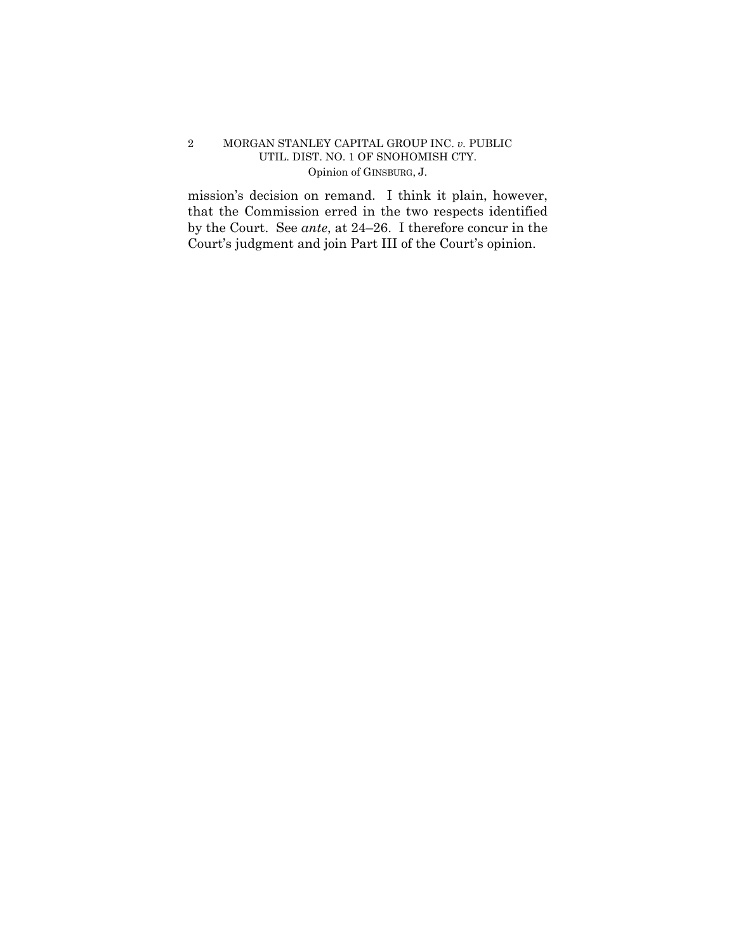mission's decision on remand. I think it plain, however, that the Commission erred in the two respects identified by the Court. See *ante*, at 24–26. I therefore concur in the Court's judgment and join Part III of the Court's opinion.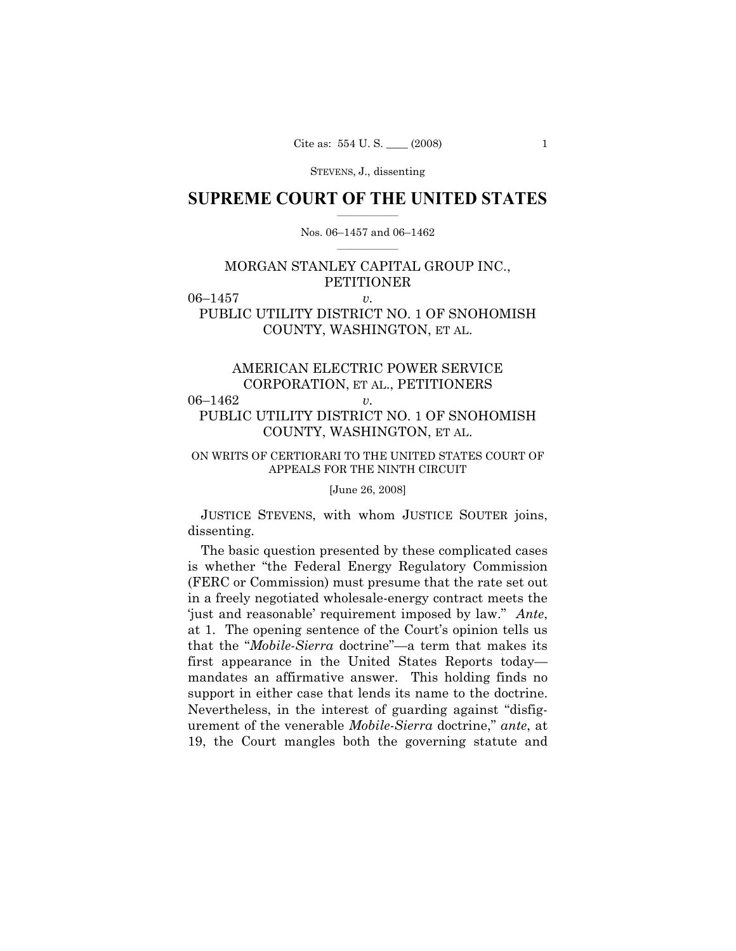STEVENS, J., dissenting

## **SUPREME COURT OF THE UNITED STATES**  $\frac{1}{2}$  ,  $\frac{1}{2}$  ,  $\frac{1}{2}$  ,  $\frac{1}{2}$  ,  $\frac{1}{2}$  ,  $\frac{1}{2}$  ,  $\frac{1}{2}$

#### Nos. 06–1457 and 06–1462  $\frac{1}{2}$  ,  $\frac{1}{2}$  ,  $\frac{1}{2}$  ,  $\frac{1}{2}$  ,  $\frac{1}{2}$  ,  $\frac{1}{2}$

# MORGAN STANLEY CAPITAL GROUP INC., **PETITIONER**

## 06–1457 *v.*

# PUBLIC UTILITY DISTRICT NO. 1 OF SNOHOMISH COUNTY, WASHINGTON, ET AL.

# AMERICAN ELECTRIC POWER SERVICE CORPORATION, ET AL., PETITIONERS

#### 06–1462 *v.*

# PUBLIC UTILITY DISTRICT NO. 1 OF SNOHOMISH COUNTY, WASHINGTON, ET AL.

# ON WRITS OF CERTIORARI TO THE UNITED STATES COURT OF APPEALS FOR THE NINTH CIRCUIT

# [June 26, 2008]

 JUSTICE STEVENS, with whom JUSTICE SOUTER joins, dissenting.

 The basic question presented by these complicated cases is whether "the Federal Energy Regulatory Commission (FERC or Commission) must presume that the rate set out in a freely negotiated wholesale-energy contract meets the 'just and reasonable' requirement imposed by law." *Ante*, at 1. The opening sentence of the Court's opinion tells us that the "*Mobile-Sierra* doctrine"—a term that makes its first appearance in the United States Reports today mandates an affirmative answer. This holding finds no support in either case that lends its name to the doctrine. Nevertheless, in the interest of guarding against "disfigurement of the venerable *Mobile-Sierra* doctrine," *ante*, at 19, the Court mangles both the governing statute and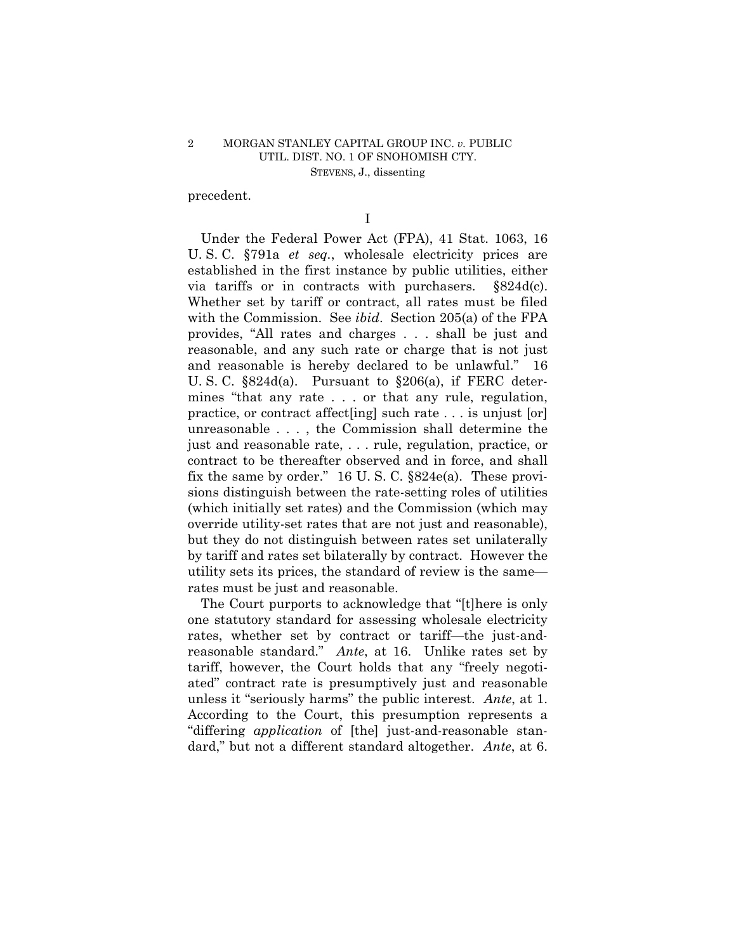## 2 MORGAN STANLEY CAPITAL GROUP INC. *v.* PUBLIC UTIL. DIST. NO. 1 OF SNOHOMISH CTY. STEVENS, J., dissenting

precedent.

I

 Under the Federal Power Act (FPA), 41 Stat. 1063, 16 U. S. C. §791a *et seq.*, wholesale electricity prices are established in the first instance by public utilities, either via tariffs or in contracts with purchasers. §824d(c). Whether set by tariff or contract, all rates must be filed with the Commission. See *ibid*. Section 205(a) of the FPA provides, "All rates and charges . . . shall be just and reasonable, and any such rate or charge that is not just and reasonable is hereby declared to be unlawful." 16 U. S. C. §824d(a). Pursuant to §206(a), if FERC determines "that any rate . . . or that any rule, regulation, practice, or contract affect[ing] such rate . . . is unjust [or] unreasonable . . . , the Commission shall determine the just and reasonable rate, . . . rule, regulation, practice, or contract to be thereafter observed and in force, and shall fix the same by order." 16 U. S. C. §824e(a). These provisions distinguish between the rate-setting roles of utilities (which initially set rates) and the Commission (which may override utility-set rates that are not just and reasonable), but they do not distinguish between rates set unilaterally by tariff and rates set bilaterally by contract. However the utility sets its prices, the standard of review is the same rates must be just and reasonable.

 The Court purports to acknowledge that "[t]here is only one statutory standard for assessing wholesale electricity rates, whether set by contract or tariff—the just-andreasonable standard." *Ante*, at 16. Unlike rates set by tariff, however, the Court holds that any "freely negotiated" contract rate is presumptively just and reasonable unless it "seriously harms" the public interest. *Ante*, at 1. According to the Court, this presumption represents a "differing *application* of [the] just-and-reasonable standard," but not a different standard altogether. *Ante*, at 6.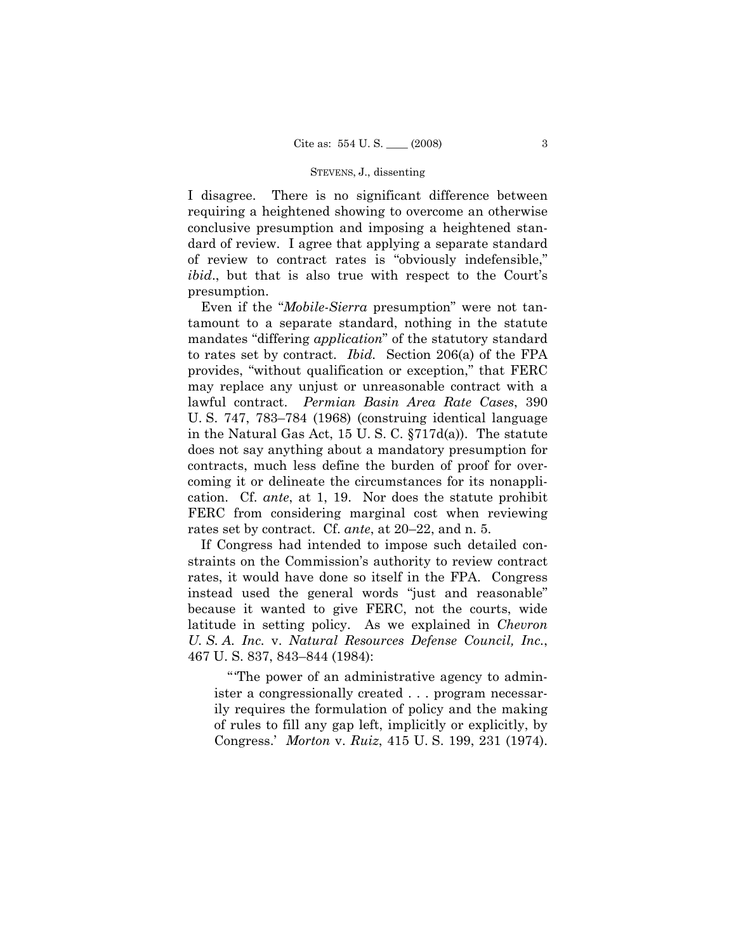#### STEVENS, J., dissenting

I disagree. There is no significant difference between requiring a heightened showing to overcome an otherwise conclusive presumption and imposing a heightened standard of review. I agree that applying a separate standard of review to contract rates is "obviously indefensible," *ibid*., but that is also true with respect to the Court's presumption.

 Even if the "*Mobile-Sierra* presumption" were not tantamount to a separate standard, nothing in the statute mandates "differing *application*" of the statutory standard to rates set by contract. *Ibid.* Section 206(a) of the FPA provides, "without qualification or exception," that FERC may replace any unjust or unreasonable contract with a lawful contract. *Permian Basin Area Rate Cases*, 390 U. S. 747, 783–784 (1968) (construing identical language in the Natural Gas Act, 15 U. S. C. §717d(a)). The statute does not say anything about a mandatory presumption for contracts, much less define the burden of proof for overcoming it or delineate the circumstances for its nonapplication. Cf. *ante*, at 1, 19. Nor does the statute prohibit FERC from considering marginal cost when reviewing rates set by contract. Cf. *ante*, at 20–22, and n. 5.

 If Congress had intended to impose such detailed constraints on the Commission's authority to review contract rates, it would have done so itself in the FPA. Congress instead used the general words "just and reasonable" because it wanted to give FERC, not the courts, wide latitude in setting policy. As we explained in *Chevron U. S. A. Inc.* v. *Natural Resources Defense Council, Inc.*, 467 U. S. 837, 843–844 (1984):

 "'The power of an administrative agency to administer a congressionally created . . . program necessarily requires the formulation of policy and the making of rules to fill any gap left, implicitly or explicitly, by Congress.' *Morton* v. *Ruiz*, 415 U. S. 199, 231 (1974).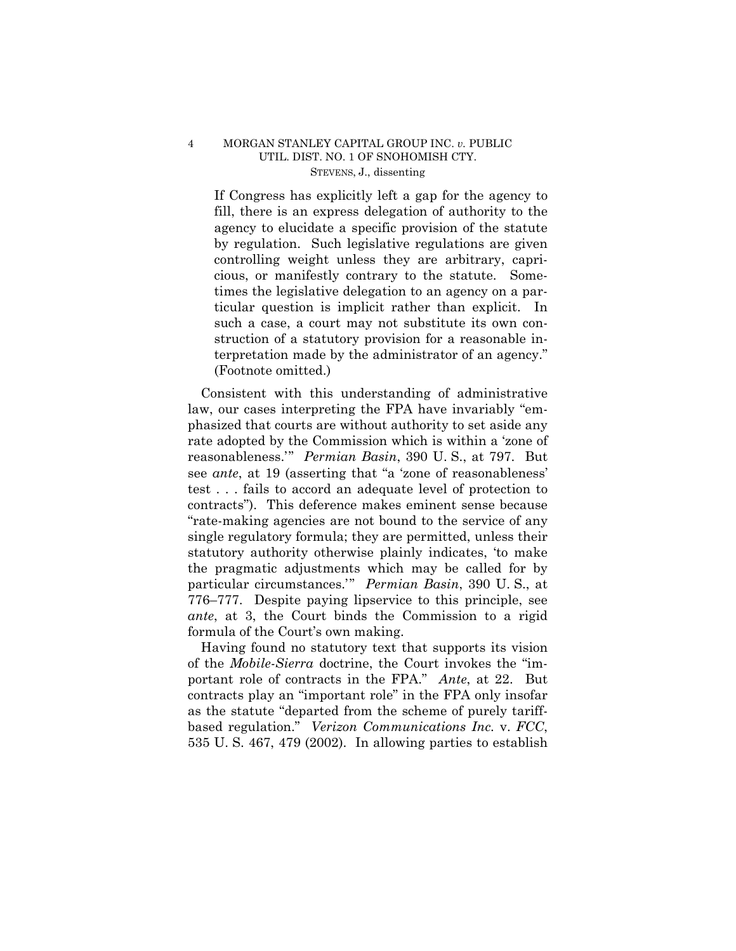#### 4 MORGAN STANLEY CAPITAL GROUP INC. *v.* PUBLIC UTIL. DIST. NO. 1 OF SNOHOMISH CTY. STEVENS, J., dissenting

If Congress has explicitly left a gap for the agency to fill, there is an express delegation of authority to the agency to elucidate a specific provision of the statute by regulation. Such legislative regulations are given controlling weight unless they are arbitrary, capricious, or manifestly contrary to the statute. Sometimes the legislative delegation to an agency on a particular question is implicit rather than explicit. In such a case, a court may not substitute its own construction of a statutory provision for a reasonable interpretation made by the administrator of an agency." (Footnote omitted.)

 Consistent with this understanding of administrative law, our cases interpreting the FPA have invariably "emphasized that courts are without authority to set aside any rate adopted by the Commission which is within a 'zone of reasonableness.'" *Permian Basin*, 390 U. S., at 797. But see *ante*, at 19 (asserting that "a 'zone of reasonableness' test . . . fails to accord an adequate level of protection to contracts"). This deference makes eminent sense because "rate-making agencies are not bound to the service of any single regulatory formula; they are permitted, unless their statutory authority otherwise plainly indicates, 'to make the pragmatic adjustments which may be called for by particular circumstances.'" *Permian Basin*, 390 U. S., at 776–777. Despite paying lipservice to this principle, see *ante*, at 3, the Court binds the Commission to a rigid formula of the Court's own making.

 Having found no statutory text that supports its vision of the *Mobile-Sierra* doctrine, the Court invokes the "important role of contracts in the FPA." *Ante*, at 22. But contracts play an "important role" in the FPA only insofar as the statute "departed from the scheme of purely tariffbased regulation." *Verizon Communications Inc.* v. *FCC*, 535 U. S. 467, 479 (2002). In allowing parties to establish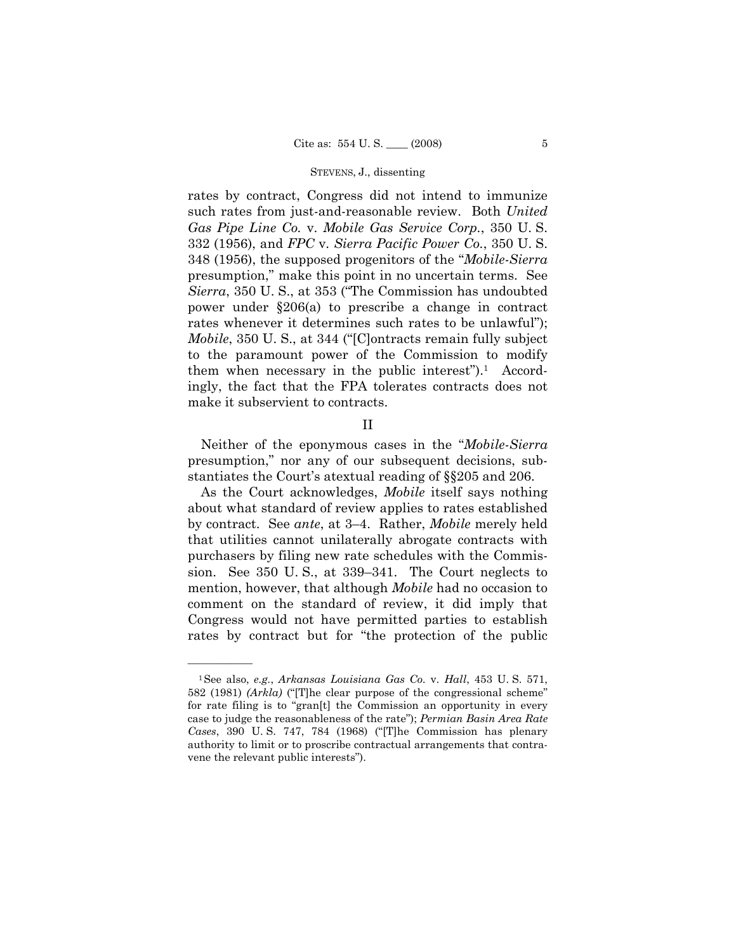#### STEVENS, J., dissenting

rates by contract, Congress did not intend to immunize such rates from just-and-reasonable review. Both *United Gas Pipe Line Co.* v. *Mobile Gas Service Corp.*, 350 U. S. 332 (1956), and *FPC* v. *Sierra Pacific Power Co.*, 350 U. S. 348 (1956), the supposed progenitors of the "*Mobile-Sierra* presumption," make this point in no uncertain terms. See *Sierra*, 350 U. S., at 353 ("The Commission has undoubted power under §206(a) to prescribe a change in contract rates whenever it determines such rates to be unlawful"); *Mobile*, 350 U. S., at 344 ("[C]ontracts remain fully subject to the paramount power of the Commission to modify them when necessary in the public interest").<sup>1</sup> Accordingly, the fact that the FPA tolerates contracts does not make it subservient to contracts.

## II

 Neither of the eponymous cases in the "*Mobile-Sierra*  presumption," nor any of our subsequent decisions, substantiates the Court's atextual reading of §§205 and 206.

 As the Court acknowledges, *Mobile* itself says nothing about what standard of review applies to rates established by contract. See *ante*, at 3–4.Rather, *Mobile* merely held that utilities cannot unilaterally abrogate contracts with purchasers by filing new rate schedules with the Commission. See 350 U. S., at 339–341. The Court neglects to mention, however, that although *Mobile* had no occasion to comment on the standard of review, it did imply that Congress would not have permitted parties to establish rates by contract but for "the protection of the public

<sup>1</sup>See also, *e.g.*, *Arkansas Louisiana Gas Co.* v. *Hall*, 453 U. S. 571, 582 (1981) *(Arkla)* ("[T]he clear purpose of the congressional scheme" for rate filing is to "gran[t] the Commission an opportunity in every case to judge the reasonableness of the rate"); *Permian Basin Area Rate Cases*, 390 U. S. 747, 784 (1968) ("[T]he Commission has plenary authority to limit or to proscribe contractual arrangements that contravene the relevant public interests").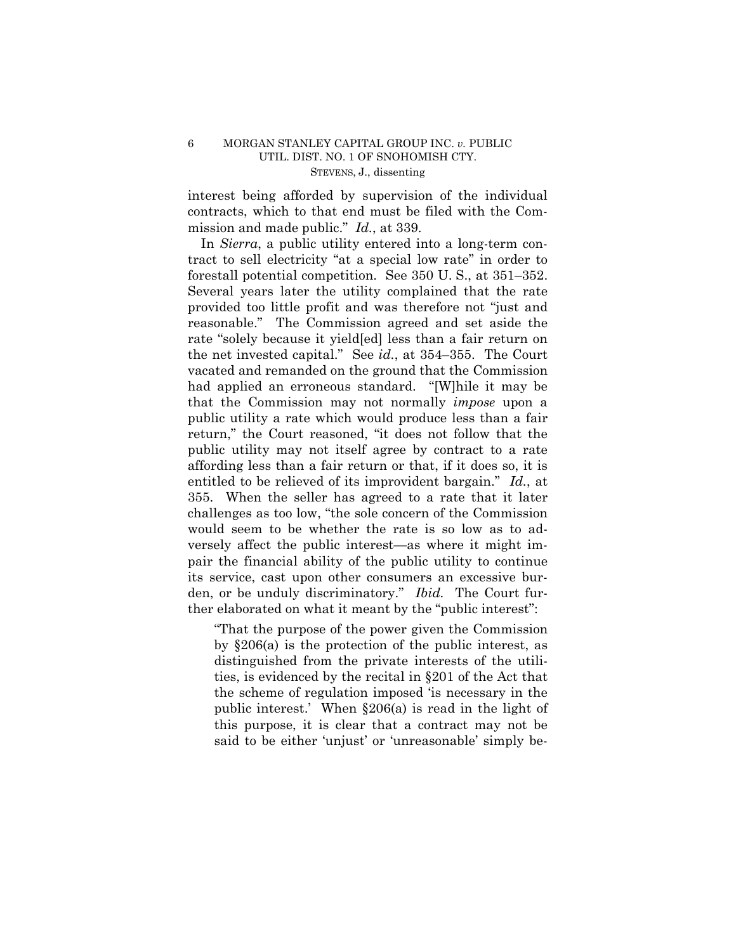# 6 MORGAN STANLEY CAPITAL GROUP INC. *v.* PUBLIC UTIL. DIST. NO. 1 OF SNOHOMISH CTY. STEVENS, J., dissenting

interest being afforded by supervision of the individual contracts, which to that end must be filed with the Commission and made public." *Id.*, at 339.

 In *Sierra*, a public utility entered into a long-term contract to sell electricity "at a special low rate" in order to forestall potential competition. See 350 U. S., at 351–352. Several years later the utility complained that the rate provided too little profit and was therefore not "just and reasonable." The Commission agreed and set aside the rate "solely because it yield[ed] less than a fair return on the net invested capital." See *id.*, at 354–355. The Court vacated and remanded on the ground that the Commission had applied an erroneous standard. "[W]hile it may be that the Commission may not normally *impose* upon a public utility a rate which would produce less than a fair return," the Court reasoned, "it does not follow that the public utility may not itself agree by contract to a rate affording less than a fair return or that, if it does so, it is entitled to be relieved of its improvident bargain." *Id.*, at 355. When the seller has agreed to a rate that it later challenges as too low, "the sole concern of the Commission would seem to be whether the rate is so low as to adversely affect the public interest—as where it might impair the financial ability of the public utility to continue its service, cast upon other consumers an excessive burden, or be unduly discriminatory." *Ibid.* The Court further elaborated on what it meant by the "public interest":

"That the purpose of the power given the Commission by §206(a) is the protection of the public interest, as distinguished from the private interests of the utilities, is evidenced by the recital in §201 of the Act that the scheme of regulation imposed 'is necessary in the public interest.' When §206(a) is read in the light of this purpose, it is clear that a contract may not be said to be either 'unjust' or 'unreasonable' simply be-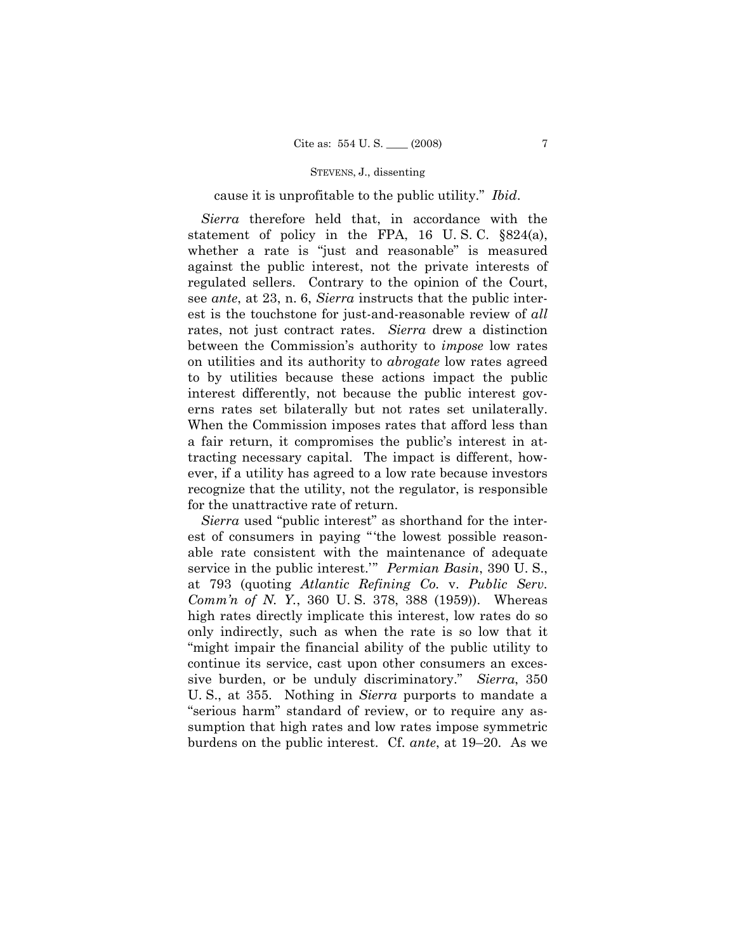#### STEVENS, J., dissenting

#### cause it is unprofitable to the public utility." *Ibid*.

*Sierra* therefore held that, in accordance with the statement of policy in the FPA, 16 U. S. C. §824(a), whether a rate is "just and reasonable" is measured against the public interest, not the private interests of regulated sellers. Contrary to the opinion of the Court, see *ante*, at 23, n. 6, *Sierra* instructs that the public interest is the touchstone for just-and-reasonable review of *all*  rates, not just contract rates. *Sierra* drew a distinction between the Commission's authority to *impose* low rates on utilities and its authority to *abrogate* low rates agreed to by utilities because these actions impact the public interest differently, not because the public interest governs rates set bilaterally but not rates set unilaterally. When the Commission imposes rates that afford less than a fair return, it compromises the public's interest in attracting necessary capital. The impact is different, however, if a utility has agreed to a low rate because investors recognize that the utility, not the regulator, is responsible for the unattractive rate of return.

*Sierra* used "public interest" as shorthand for the interest of consumers in paying "'the lowest possible reasonable rate consistent with the maintenance of adequate service in the public interest.'" *Permian Basin*, 390 U. S., at 793 (quoting *Atlantic Refining Co.* v. *Public Serv. Comm'n of N. Y.*, 360 U. S. 378, 388 (1959)). Whereas high rates directly implicate this interest, low rates do so only indirectly, such as when the rate is so low that it "might impair the financial ability of the public utility to continue its service, cast upon other consumers an excessive burden, or be unduly discriminatory." *Sierra*, 350 U. S., at 355. Nothing in *Sierra* purports to mandate a "serious harm" standard of review, or to require any assumption that high rates and low rates impose symmetric burdens on the public interest. Cf. *ante*, at 19–20. As we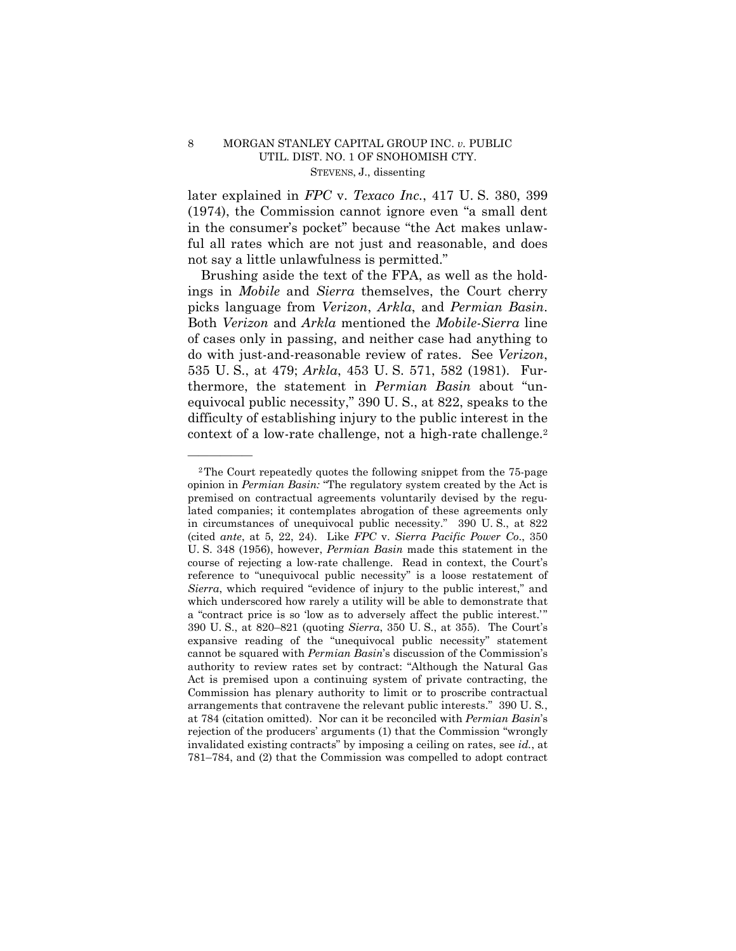## 8 MORGAN STANLEY CAPITAL GROUP INC. *v.* PUBLIC UTIL. DIST. NO. 1 OF SNOHOMISH CTY. STEVENS, J., dissenting

later explained in *FPC* v. *Texaco Inc.*, 417 U. S. 380, 399 (1974), the Commission cannot ignore even "a small dent in the consumer's pocket" because "the Act makes unlawful all rates which are not just and reasonable, and does not say a little unlawfulness is permitted."

 Brushing aside the text of the FPA, as well as the holdings in *Mobile* and *Sierra* themselves, the Court cherry picks language from *Verizon*, *Arkla*, and *Permian Basin*. Both *Verizon* and *Arkla* mentioned the *Mobile-Sierra* line of cases only in passing, and neither case had anything to do with just-and-reasonable review of rates. See *Verizon*, 535 U. S., at 479; *Arkla*, 453 U. S. 571, 582 (1981). Furthermore, the statement in *Permian Basin* about "unequivocal public necessity," 390 U. S., at 822, speaks to the difficulty of establishing injury to the public interest in the context of a low-rate challenge, not a high-rate challenge.2

<sup>2</sup>The Court repeatedly quotes the following snippet from the 75-page opinion in *Permian Basin:* "The regulatory system created by the Act is premised on contractual agreements voluntarily devised by the regulated companies; it contemplates abrogation of these agreements only in circumstances of unequivocal public necessity." 390 U. S., at 822 (cited *ante*, at 5, 22, 24). Like *FPC* v. *Sierra Pacific Power Co*., 350 U. S. 348 (1956), however, *Permian Basin* made this statement in the course of rejecting a low-rate challenge. Read in context, the Court's reference to "unequivocal public necessity" is a loose restatement of *Sierra*, which required "evidence of injury to the public interest," and which underscored how rarely a utility will be able to demonstrate that a "contract price is so 'low as to adversely affect the public interest.'" 390 U. S., at 820–821 (quoting *Sierra*, 350 U. S., at 355). The Court's expansive reading of the "unequivocal public necessity" statement cannot be squared with *Permian Basin*'s discussion of the Commission's authority to review rates set by contract: "Although the Natural Gas Act is premised upon a continuing system of private contracting, the Commission has plenary authority to limit or to proscribe contractual arrangements that contravene the relevant public interests." 390 U. S*.*, at 784 (citation omitted). Nor can it be reconciled with *Permian Basin*'s rejection of the producers' arguments (1) that the Commission "wrongly invalidated existing contracts" by imposing a ceiling on rates, see *id.*, at 781–784, and (2) that the Commission was compelled to adopt contract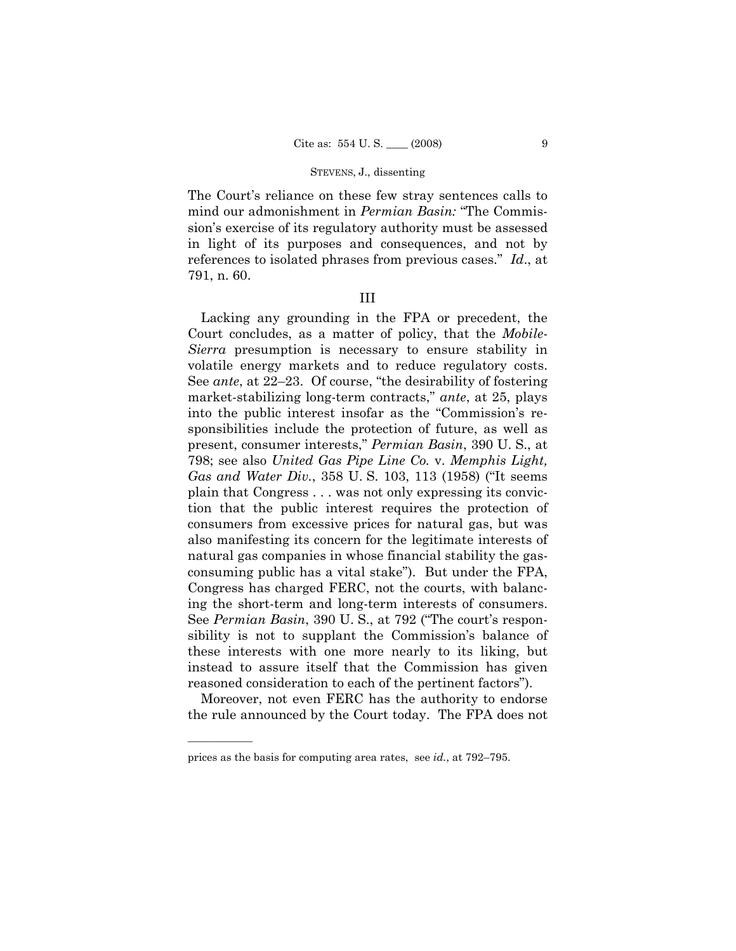#### STEVENS, J., dissenting

The Court's reliance on these few stray sentences calls to mind our admonishment in *Permian Basin:* "The Commission's exercise of its regulatory authority must be assessed in light of its purposes and consequences, and not by references to isolated phrases from previous cases." *Id*., at 791, n. 60.

#### III

 Lacking any grounding in the FPA or precedent, the Court concludes, as a matter of policy, that the *Mobile-Sierra* presumption is necessary to ensure stability in volatile energy markets and to reduce regulatory costs. See *ante*, at 22–23. Of course, "the desirability of fostering market-stabilizing long-term contracts," *ante*, at 25, plays into the public interest insofar as the "Commission's responsibilities include the protection of future, as well as present, consumer interests," *Permian Basin*, 390 U. S., at 798; see also *United Gas Pipe Line Co.* v. *Memphis Light, Gas and Water Div.*, 358 U. S. 103, 113 (1958) ("It seems plain that Congress . . . was not only expressing its conviction that the public interest requires the protection of consumers from excessive prices for natural gas, but was also manifesting its concern for the legitimate interests of natural gas companies in whose financial stability the gasconsuming public has a vital stake"). But under the FPA, Congress has charged FERC, not the courts, with balancing the short-term and long-term interests of consumers. See *Permian Basin*, 390 U. S., at 792 ("The court's responsibility is not to supplant the Commission's balance of these interests with one more nearly to its liking, but instead to assure itself that the Commission has given reasoned consideration to each of the pertinent factors").

 Moreover, not even FERC has the authority to endorse the rule announced by the Court today. The FPA does not

prices as the basis for computing area rates, see *id.*, at 792–795.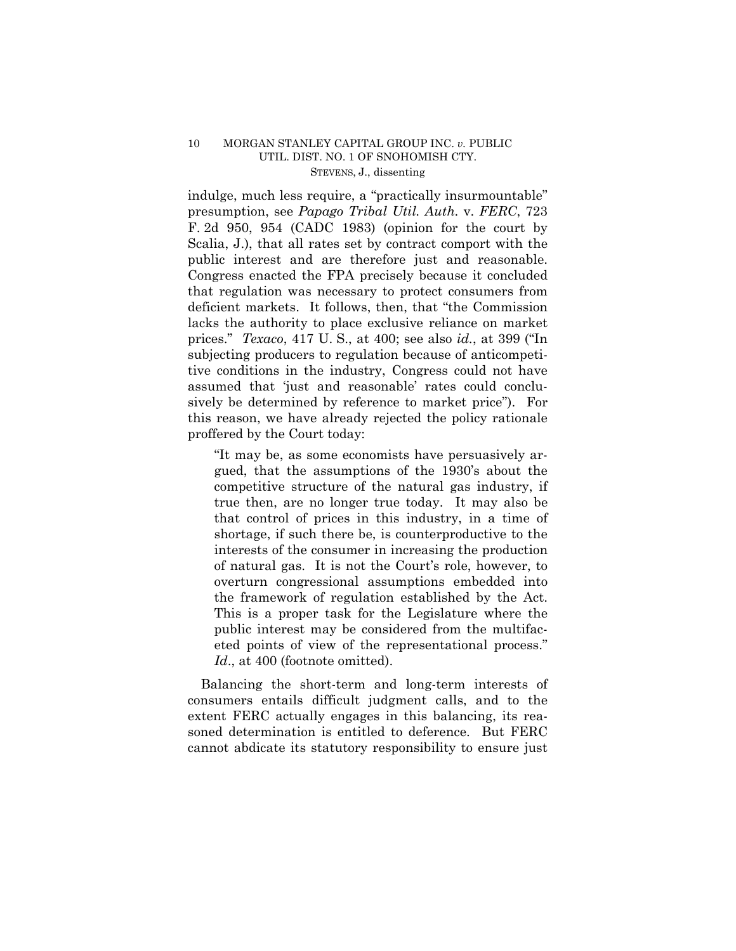## 10 MORGAN STANLEY CAPITAL GROUP INC. *v.* PUBLIC UTIL. DIST. NO. 1 OF SNOHOMISH CTY. STEVENS, J., dissenting

indulge, much less require, a "practically insurmountable" presumption, see *Papago Tribal Util. Auth.* v. *FERC*, 723 F. 2d 950, 954 (CADC 1983) (opinion for the court by Scalia, J.), that all rates set by contract comport with the public interest and are therefore just and reasonable. Congress enacted the FPA precisely because it concluded that regulation was necessary to protect consumers from deficient markets. It follows, then, that "the Commission lacks the authority to place exclusive reliance on market prices." *Texaco*, 417 U. S., at 400; see also *id.*, at 399 ("In subjecting producers to regulation because of anticompetitive conditions in the industry, Congress could not have assumed that 'just and reasonable' rates could conclusively be determined by reference to market price"). For this reason, we have already rejected the policy rationale proffered by the Court today:

"It may be, as some economists have persuasively argued, that the assumptions of the 1930's about the competitive structure of the natural gas industry, if true then, are no longer true today. It may also be that control of prices in this industry, in a time of shortage, if such there be, is counterproductive to the interests of the consumer in increasing the production of natural gas. It is not the Court's role, however, to overturn congressional assumptions embedded into the framework of regulation established by the Act. This is a proper task for the Legislature where the public interest may be considered from the multifaceted points of view of the representational process." Id., at 400 (footnote omitted).

 Balancing the short-term and long-term interests of consumers entails difficult judgment calls, and to the extent FERC actually engages in this balancing, its reasoned determination is entitled to deference. But FERC cannot abdicate its statutory responsibility to ensure just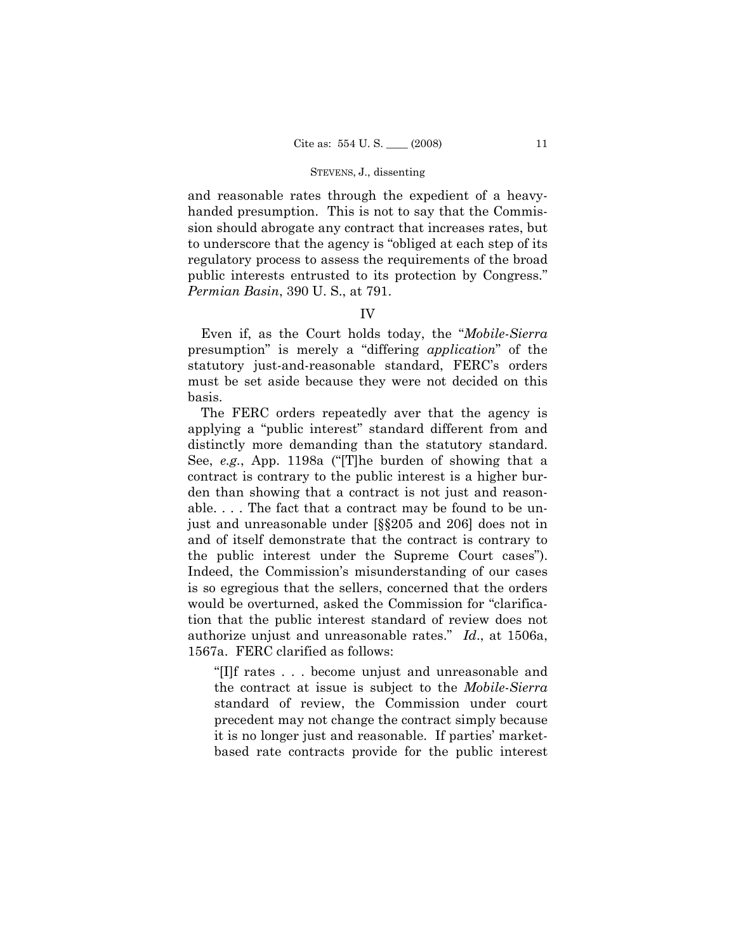#### STEVENS, J., dissenting

and reasonable rates through the expedient of a heavyhanded presumption. This is not to say that the Commission should abrogate any contract that increases rates, but to underscore that the agency is "obliged at each step of its regulatory process to assess the requirements of the broad public interests entrusted to its protection by Congress." *Permian Basin*, 390 U. S., at 791.

#### IV

 Even if, as the Court holds today, the "*Mobile-Sierra* presumption" is merely a "differing *application*" of the statutory just-and-reasonable standard, FERC's orders must be set aside because they were not decided on this basis.

 The FERC orders repeatedly aver that the agency is applying a "public interest" standard different from and distinctly more demanding than the statutory standard. See, *e.g.*, App. 1198a ("[T]he burden of showing that a contract is contrary to the public interest is a higher burden than showing that a contract is not just and reasonable. . . . The fact that a contract may be found to be unjust and unreasonable under [§§205 and 206] does not in and of itself demonstrate that the contract is contrary to the public interest under the Supreme Court cases"). Indeed, the Commission's misunderstanding of our cases is so egregious that the sellers, concerned that the orders would be overturned, asked the Commission for "clarification that the public interest standard of review does not authorize unjust and unreasonable rates." *Id*., at 1506a, 1567a. FERC clarified as follows:

"[I]f rates . . . become unjust and unreasonable and the contract at issue is subject to the *Mobile-Sierra* standard of review, the Commission under court precedent may not change the contract simply because it is no longer just and reasonable. If parties' marketbased rate contracts provide for the public interest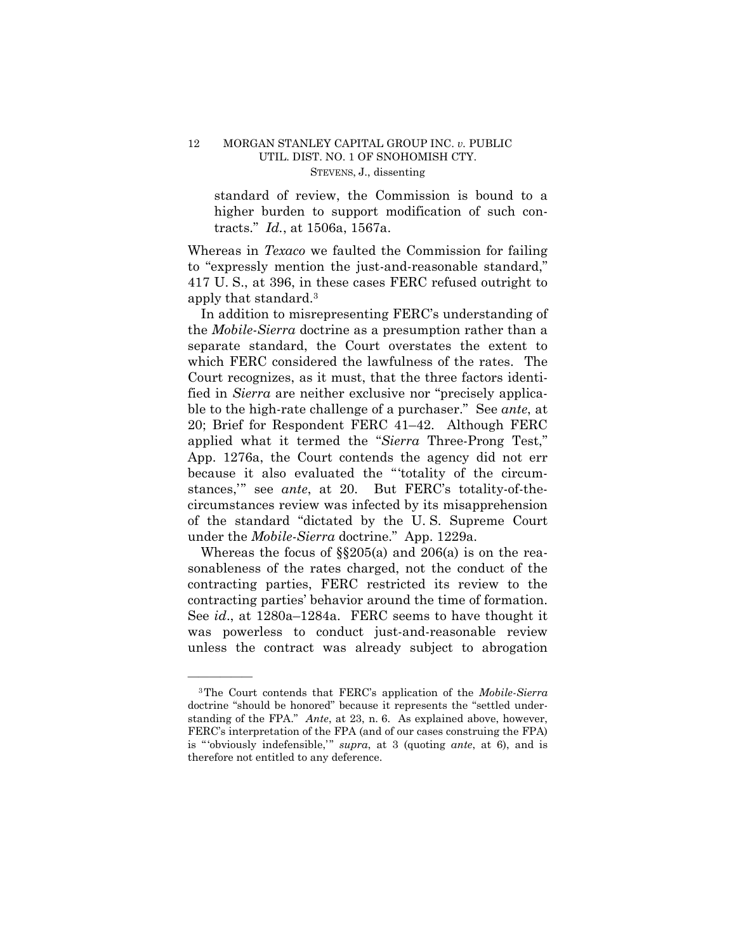## 12 MORGAN STANLEY CAPITAL GROUP INC. *v.* PUBLIC UTIL. DIST. NO. 1 OF SNOHOMISH CTY. STEVENS, J., dissenting

standard of review, the Commission is bound to a higher burden to support modification of such contracts." *Id.*, at 1506a, 1567a.

Whereas in *Texaco* we faulted the Commission for failing to "expressly mention the just-and-reasonable standard," 417 U. S., at 396, in these cases FERC refused outright to apply that standard.3

 In addition to misrepresenting FERC's understanding of the *Mobile-Sierra* doctrine as a presumption rather than a separate standard, the Court overstates the extent to which FERC considered the lawfulness of the rates. The Court recognizes, as it must, that the three factors identified in *Sierra* are neither exclusive nor "precisely applicable to the high-rate challenge of a purchaser." See *ante*, at 20; Brief for Respondent FERC 41–42. Although FERC applied what it termed the "*Sierra* Three-Prong Test," App. 1276a, the Court contends the agency did not err because it also evaluated the "'totality of the circumstances,'" see *ante*, at 20. But FERC's totality-of-thecircumstances review was infected by its misapprehension of the standard "dictated by the U. S. Supreme Court under the *Mobile-Sierra* doctrine." App. 1229a.

 Whereas the focus of §§205(a) and 206(a) is on the reasonableness of the rates charged, not the conduct of the contracting parties, FERC restricted its review to the contracting parties' behavior around the time of formation. See *id*., at 1280a–1284a. FERC seems to have thought it was powerless to conduct just-and-reasonable review unless the contract was already subject to abrogation

<sup>3</sup>The Court contends that FERC's application of the *Mobile-Sierra*  doctrine "should be honored" because it represents the "settled understanding of the FPA." *Ante*, at 23, n. 6. As explained above, however, FERC's interpretation of the FPA (and of our cases construing the FPA) is "'obviously indefensible,'" *supra*, at 3 (quoting *ante*, at 6), and is therefore not entitled to any deference.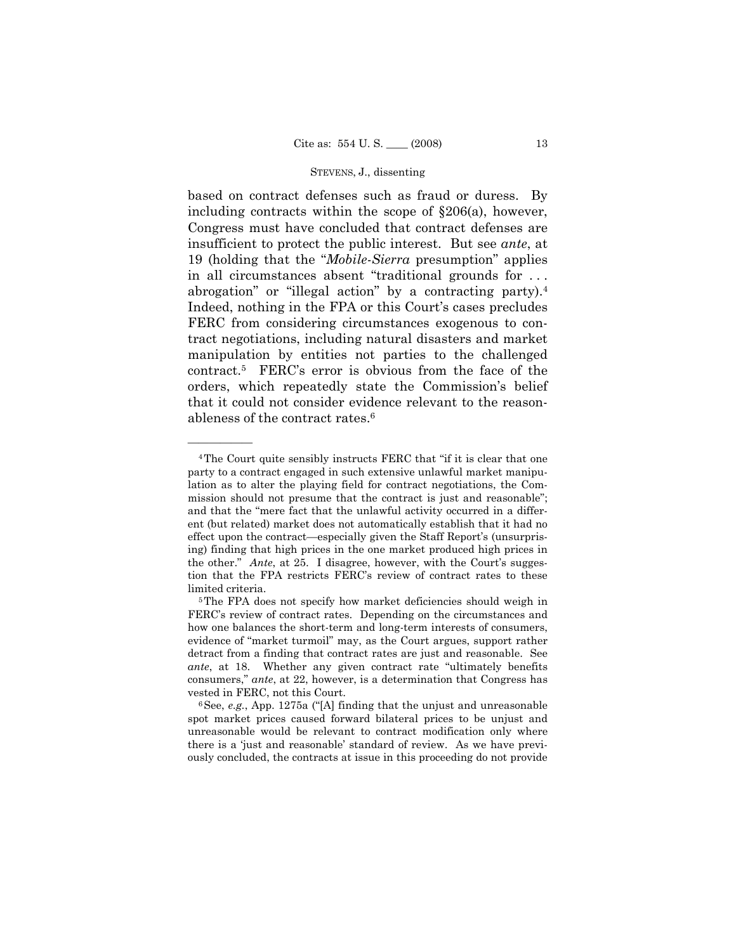#### STEVENS, J., dissenting

based on contract defenses such as fraud or duress. By including contracts within the scope of §206(a), however, Congress must have concluded that contract defenses are insufficient to protect the public interest. But see *ante*, at 19 (holding that the "*Mobile-Sierra* presumption" applies in all circumstances absent "traditional grounds for . . . abrogation" or "illegal action" by a contracting party).4 Indeed, nothing in the FPA or this Court's cases precludes FERC from considering circumstances exogenous to contract negotiations, including natural disasters and market manipulation by entities not parties to the challenged contract.5 FERC's error is obvious from the face of the orders, which repeatedly state the Commission's belief that it could not consider evidence relevant to the reasonableness of the contract rates.6

<sup>4</sup>The Court quite sensibly instructs FERC that "if it is clear that one party to a contract engaged in such extensive unlawful market manipulation as to alter the playing field for contract negotiations, the Commission should not presume that the contract is just and reasonable"; and that the "mere fact that the unlawful activity occurred in a different (but related) market does not automatically establish that it had no effect upon the contract—especially given the Staff Report's (unsurprising) finding that high prices in the one market produced high prices in the other." *Ante*, at 25. I disagree, however, with the Court's suggestion that the FPA restricts FERC's review of contract rates to these limited criteria.<br><sup>5</sup>The FPA does not specify how market deficiencies should weigh in

FERC's review of contract rates. Depending on the circumstances and how one balances the short-term and long-term interests of consumers, evidence of "market turmoil" may, as the Court argues, support rather detract from a finding that contract rates are just and reasonable. See *ante*, at 18. Whether any given contract rate "ultimately benefits consumers," *ante*, at 22, however, is a determination that Congress has vested in FERC, not this Court.<br><sup>6</sup>See, *e.g.*, App. 1275a ("[A] finding that the unjust and unreasonable

spot market prices caused forward bilateral prices to be unjust and unreasonable would be relevant to contract modification only where there is a 'just and reasonable' standard of review. As we have previously concluded, the contracts at issue in this proceeding do not provide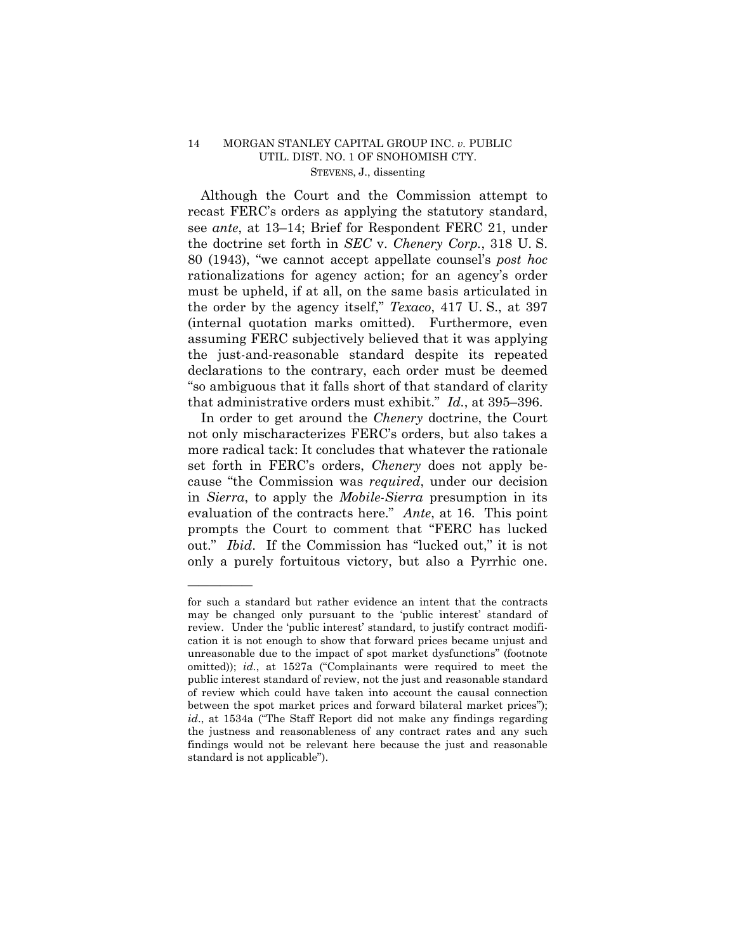## 14 MORGAN STANLEY CAPITAL GROUP INC. *v.* PUBLIC UTIL. DIST. NO. 1 OF SNOHOMISH CTY. STEVENS, J., dissenting

 Although the Court and the Commission attempt to recast FERC's orders as applying the statutory standard, see *ante*, at 13–14; Brief for Respondent FERC 21, under the doctrine set forth in *SEC* v. *Chenery Corp.*, 318 U. S. 80 (1943), "we cannot accept appellate counsel's *post hoc*  rationalizations for agency action; for an agency's order must be upheld, if at all, on the same basis articulated in the order by the agency itself," *Texaco*, 417 U. S., at 397 (internal quotation marks omitted). Furthermore, even assuming FERC subjectively believed that it was applying the just-and-reasonable standard despite its repeated declarations to the contrary, each order must be deemed "so ambiguous that it falls short of that standard of clarity that administrative orders must exhibit." *Id.*, at 395–396.

 In order to get around the *Chenery* doctrine, the Court not only mischaracterizes FERC's orders, but also takes a more radical tack: It concludes that whatever the rationale set forth in FERC's orders, *Chenery* does not apply because "the Commission was *required*, under our decision in *Sierra*, to apply the *Mobile-Sierra* presumption in its evaluation of the contracts here." *Ante*, at 16. This point prompts the Court to comment that "FERC has lucked out." *Ibid*. If the Commission has "lucked out," it is not only a purely fortuitous victory, but also a Pyrrhic one.

for such a standard but rather evidence an intent that the contracts may be changed only pursuant to the 'public interest' standard of review. Under the 'public interest' standard, to justify contract modification it is not enough to show that forward prices became unjust and unreasonable due to the impact of spot market dysfunctions" (footnote omitted)); *id.*, at 1527a ("Complainants were required to meet the public interest standard of review, not the just and reasonable standard of review which could have taken into account the causal connection between the spot market prices and forward bilateral market prices"); *id*., at 1534a ("The Staff Report did not make any findings regarding the justness and reasonableness of any contract rates and any such findings would not be relevant here because the just and reasonable standard is not applicable").